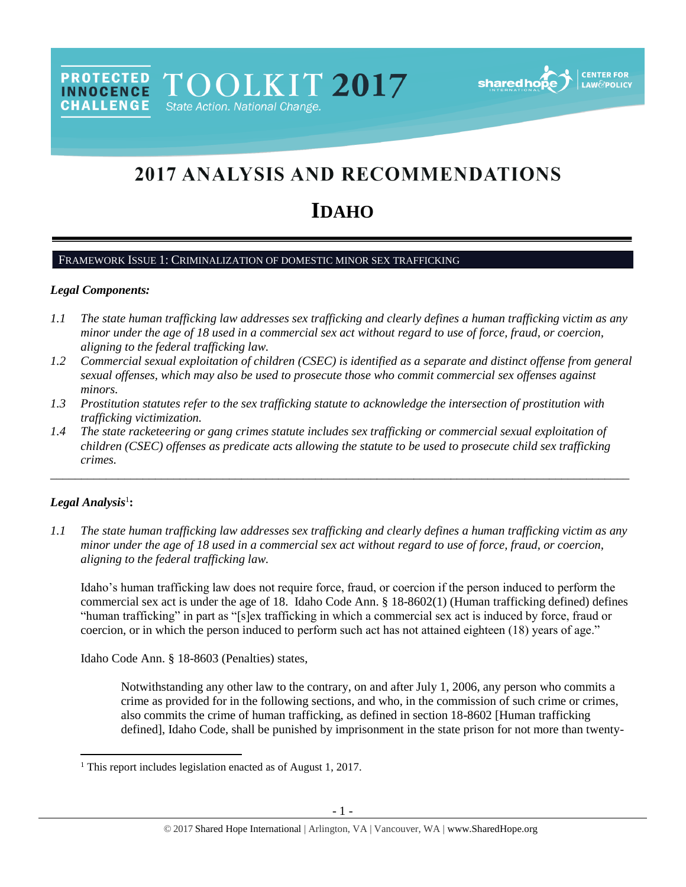**PROTECTED** TOOLKIT 2017 **INNOCENCE CHALLENGE** State Action. National Change.



# 2017 ANALYSIS AND RECOMMENDATIONS

# **IDAHO**

## FRAMEWORK ISSUE 1: CRIMINALIZATION OF DOMESTIC MINOR SEX TRAFFICKING

#### *Legal Components:*

- *1.1 The state human trafficking law addresses sex trafficking and clearly defines a human trafficking victim as any minor under the age of 18 used in a commercial sex act without regard to use of force, fraud, or coercion, aligning to the federal trafficking law.*
- *1.2 Commercial sexual exploitation of children (CSEC) is identified as a separate and distinct offense from general sexual offenses, which may also be used to prosecute those who commit commercial sex offenses against minors.*
- *1.3 Prostitution statutes refer to the sex trafficking statute to acknowledge the intersection of prostitution with trafficking victimization.*
- *1.4 The state racketeering or gang crimes statute includes sex trafficking or commercial sexual exploitation of children (CSEC) offenses as predicate acts allowing the statute to be used to prosecute child sex trafficking crimes.*

\_\_\_\_\_\_\_\_\_\_\_\_\_\_\_\_\_\_\_\_\_\_\_\_\_\_\_\_\_\_\_\_\_\_\_\_\_\_\_\_\_\_\_\_\_\_\_\_\_\_\_\_\_\_\_\_\_\_\_\_\_\_\_\_\_\_\_\_\_\_\_\_\_\_\_\_\_\_\_\_\_\_\_\_\_\_\_\_\_\_\_\_\_\_

## $Legal$  Analysis<sup>1</sup>:

 $\overline{a}$ 

*1.1 The state human trafficking law addresses sex trafficking and clearly defines a human trafficking victim as any minor under the age of 18 used in a commercial sex act without regard to use of force, fraud, or coercion, aligning to the federal trafficking law.*

Idaho's human trafficking law does not require force, fraud, or coercion if the person induced to perform the commercial sex act is under the age of 18. Idaho Code Ann. § 18-8602(1) (Human trafficking defined) defines "human trafficking" in part as "[s]ex trafficking in which a commercial sex act is induced by force, fraud or coercion, or in which the person induced to perform such act has not attained eighteen (18) years of age."

Idaho Code Ann. § 18-8603 (Penalties) states,

Notwithstanding any other law to the contrary, on and after July 1, 2006, any person who commits a crime as provided for in the following sections, and who, in the commission of such crime or crimes, also commits the crime of human trafficking, as defined in section 18-8602 [Human trafficking defined], Idaho Code, shall be punished by imprisonment in the state prison for not more than twenty-

<sup>&</sup>lt;sup>1</sup> This report includes legislation enacted as of August 1, 2017.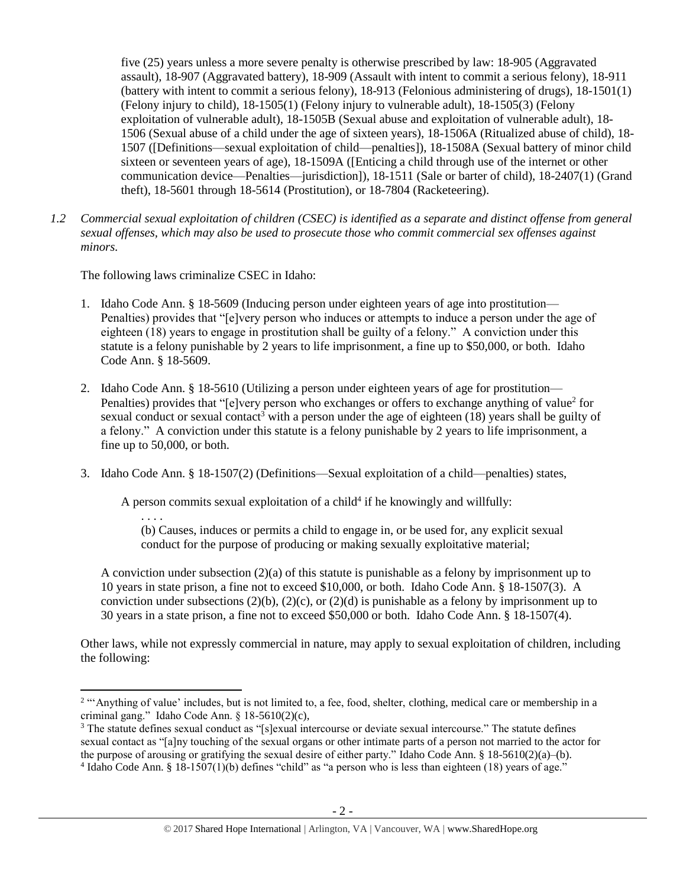five (25) years unless a more severe penalty is otherwise prescribed by law: 18-905 (Aggravated assault), 18-907 (Aggravated battery), 18-909 (Assault with intent to commit a serious felony), 18-911 (battery with intent to commit a serious felony), 18-913 (Felonious administering of drugs), 18-1501(1) (Felony injury to child), 18-1505(1) (Felony injury to vulnerable adult), 18-1505(3) (Felony exploitation of vulnerable adult), 18-1505B (Sexual abuse and exploitation of vulnerable adult), 18- 1506 (Sexual abuse of a child under the age of sixteen years), 18-1506A (Ritualized abuse of child), 18- 1507 ([Definitions—sexual exploitation of child—penalties]), 18-1508A (Sexual battery of minor child sixteen or seventeen years of age), 18-1509A ([Enticing a child through use of the internet or other communication device—Penalties—jurisdiction]), 18-1511 (Sale or barter of child), 18-2407(1) (Grand theft), 18-5601 through 18-5614 (Prostitution), or 18-7804 (Racketeering).

*1.2 Commercial sexual exploitation of children (CSEC) is identified as a separate and distinct offense from general sexual offenses, which may also be used to prosecute those who commit commercial sex offenses against minors.*

The following laws criminalize CSEC in Idaho:

- 1. Idaho Code Ann. § 18-5609 (Inducing person under eighteen years of age into prostitution— Penalties) provides that "[e]very person who induces or attempts to induce a person under the age of eighteen (18) years to engage in prostitution shall be guilty of a felony." A conviction under this statute is a felony punishable by 2 years to life imprisonment, a fine up to \$50,000, or both. Idaho Code Ann. § 18-5609.
- 2. Idaho Code Ann. § 18-5610 (Utilizing a person under eighteen years of age for prostitution— Penalties) provides that "[e]very person who exchanges or offers to exchange anything of value<sup>2</sup> for sexual conduct or sexual contact<sup>3</sup> with a person under the age of eighteen  $(18)$  years shall be guilty of a felony." A conviction under this statute is a felony punishable by 2 years to life imprisonment, a fine up to 50,000, or both.
- 3. Idaho Code Ann. § 18-1507(2) (Definitions—Sexual exploitation of a child—penalties) states,

A person commits sexual exploitation of a child<sup>4</sup> if he knowingly and willfully:

. . . .

 $\overline{\phantom{a}}$ 

<span id="page-1-0"></span>(b) Causes, induces or permits a child to engage in, or be used for, any explicit sexual conduct for the purpose of producing or making sexually exploitative material;

A conviction under subsection (2)(a) of this statute is punishable as a felony by imprisonment up to 10 years in state prison, a fine not to exceed \$10,000, or both. Idaho Code Ann. § 18-1507(3). A conviction under subsections (2)(b), (2)(c), or (2)(d) is punishable as a felony by imprisonment up to 30 years in a state prison, a fine not to exceed \$50,000 or both. Idaho Code Ann. § 18-1507(4).

Other laws, while not expressly commercial in nature, may apply to sexual exploitation of children, including the following:

<sup>&</sup>lt;sup>2</sup> "Anything of value' includes, but is not limited to, a fee, food, shelter, clothing, medical care or membership in a criminal gang." Idaho Code Ann. § 18-5610(2)(c),

<sup>&</sup>lt;sup>3</sup> The statute defines sexual conduct as "[s]exual intercourse or deviate sexual intercourse." The statute defines sexual contact as "[a]ny touching of the sexual organs or other intimate parts of a person not married to the actor for the purpose of arousing or gratifying the sexual desire of either party." Idaho Code Ann.  $\S$  18-5610(2)(a)–(b). 4 Idaho Code Ann. § 18-1507(1)(b) defines "child" as "a person who is less than eighteen (18) years of age."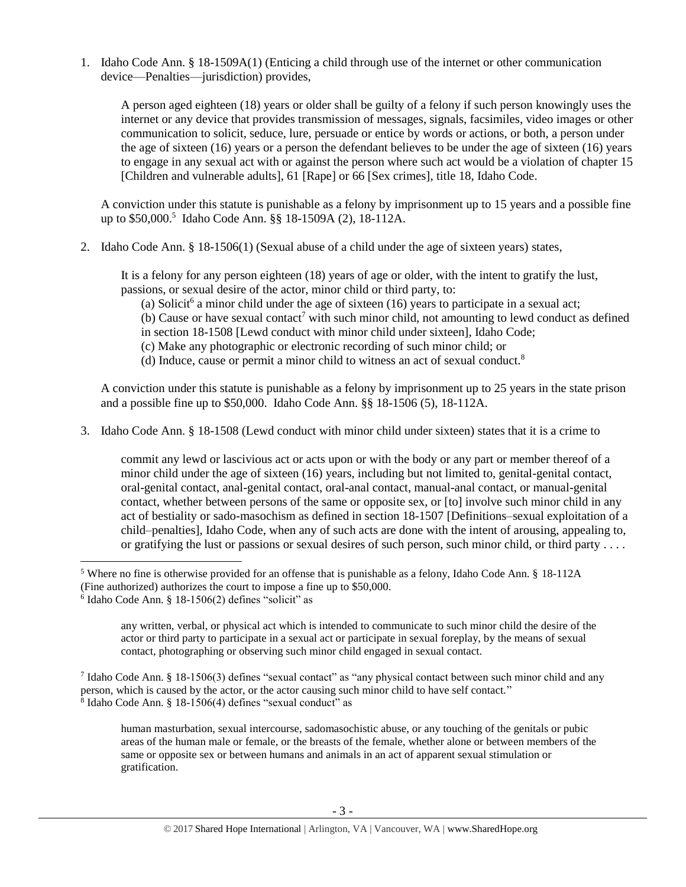1. Idaho Code Ann. § 18-1509A(1) (Enticing a child through use of the internet or other communication device—Penalties—jurisdiction) provides,

A person aged eighteen (18) years or older shall be guilty of a felony if such person knowingly uses the internet or any device that provides transmission of messages, signals, facsimiles, video images or other communication to solicit, seduce, lure, persuade or entice by words or actions, or both, a person under the age of sixteen (16) years or a person the defendant believes to be under the age of sixteen (16) years to engage in any sexual act with or against the person where such act would be a violation of chapter 15 [Children and vulnerable adults], 61 [Rape] or 66 [Sex crimes], [title 18,](http://www.legislature.idaho.gov/idstat/Title18/T18.htm) Idaho Code.

A conviction under this statute is punishable as a felony by imprisonment up to 15 years and a possible fine up to \$50,000.<sup>5</sup> Idaho Code Ann. §§ 18-1509A (2), 18-112A.

2. Idaho Code Ann. § 18-1506(1) (Sexual abuse of a child under the age of sixteen years) states,

It is a felony for any person eighteen (18) years of age or older, with the intent to gratify the lust, passions, or sexual desire of the actor, minor child or third party, to:

- (a) Solicit<sup>6</sup> a minor child under the age of sixteen (16) years to participate in a sexual act;
- $(b)$  Cause or have sexual contact<sup>7</sup> with such minor child, not amounting to lewd conduct as defined
- in section [18-1508](http://www.legislature.idaho.gov/idstat/Title18/T18CH15SECT18-1508.htm) [Lewd conduct with minor child under sixteen], Idaho Code;
- <span id="page-2-0"></span>(c) Make any photographic or electronic recording of such minor child; or
- (d) Induce, cause or permit a minor child to witness an act of sexual conduct.<sup>8</sup>

A conviction under this statute is punishable as a felony by imprisonment up to 25 years in the state prison and a possible fine up to \$50,000. Idaho Code Ann. §§ 18-1506 (5), 18-112A.

3. Idaho Code Ann. § 18-1508 (Lewd conduct with minor child under sixteen) states that it is a crime to

commit any lewd or lascivious act or acts upon or with the body or any part or member thereof of a minor child under the age of sixteen (16) years, including but not limited to, genital-genital contact, oral-genital contact, anal-genital contact, oral-anal contact, manual-anal contact, or manual-genital contact, whether between persons of the same or opposite sex, or [to] involve such minor child in any act of bestiality or sado-masochism as defined in section 18-1507 [Definitions–sexual exploitation of a child–penalties], Idaho Code, when any of such acts are done with the intent of arousing, appealing to, or gratifying the lust or passions or sexual desires of such person, such minor child, or third party . . . .

l

any written, verbal, or physical act which is intended to communicate to such minor child the desire of the actor or third party to participate in a sexual act or participate in sexual foreplay, by the means of sexual contact, photographing or observing such minor child engaged in sexual contact.

<sup>7</sup> Idaho Code Ann. § 18-1506(3) defines "sexual contact" as "any physical contact between such minor child and any person, which is caused by the actor, or the actor causing such minor child to have self contact." 8 Idaho Code Ann. § 18-1506(4) defines "sexual conduct" as

human masturbation, sexual intercourse, sadomasochistic abuse, or any touching of the genitals or pubic areas of the human male or female, or the breasts of the female, whether alone or between members of the same or opposite sex or between humans and animals in an act of apparent sexual stimulation or gratification.

<sup>5</sup> Where no fine is otherwise provided for an offense that is punishable as a felony, Idaho Code Ann. § 18-112A (Fine authorized) authorizes the court to impose a fine up to \$50,000.

<sup>6</sup> Idaho Code Ann. § 18-1506(2) defines "solicit" as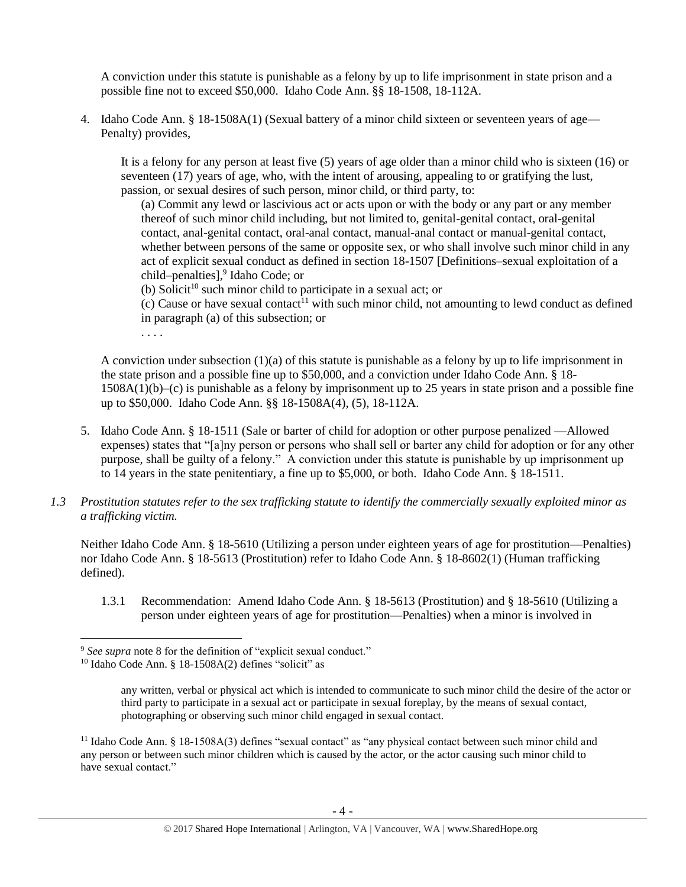A conviction under this statute is punishable as a felony by up to life imprisonment in state prison and a possible fine not to exceed \$50,000. Idaho Code Ann. §§ 18-1508, 18-112A.

4. Idaho Code Ann. § 18-1508A(1) (Sexual battery of a minor child sixteen or seventeen years of age— Penalty) provides,

It is a felony for any person at least five (5) years of age older than a minor child who is sixteen (16) or seventeen (17) years of age, who, with the intent of arousing, appealing to or gratifying the lust, passion, or sexual desires of such person, minor child, or third party, to:

(a) Commit any lewd or lascivious act or acts upon or with the body or any part or any member thereof of such minor child including, but not limited to, genital-genital contact, oral-genital contact, anal-genital contact, oral-anal contact, manual-anal contact or manual-genital contact, whether between persons of the same or opposite sex, or who shall involve such minor child in any act of explicit sexual conduct as defined in section 18-1507 [Definitions–sexual exploitation of a child–penalties],<sup>9</sup> Idaho Code; or

(b) Solicit<sup>10</sup> such minor child to participate in a sexual act; or

(c) Cause or have sexual contact<sup>11</sup> with such minor child, not amounting to lewd conduct as defined in paragraph (a) of this subsection; or

. . . .

A conviction under subsection (1)(a) of this statute is punishable as a felony by up to life imprisonment in the state prison and a possible fine up to \$50,000, and a conviction under Idaho Code Ann. § 18- 1508A(1)(b)–(c) is punishable as a felony by imprisonment up to 25 years in state prison and a possible fine up to \$50,000. Idaho Code Ann. §§ 18-1508A(4), (5), 18-112A.

- 5. Idaho Code Ann. § 18-1511 (Sale or barter of child for adoption or other purpose penalized —Allowed expenses) states that "[a]ny person or persons who shall sell or barter any child for adoption or for any other purpose, shall be guilty of a felony." A conviction under this statute is punishable by up imprisonment up to 14 years in the state penitentiary, a fine up to \$5,000, or both. Idaho Code Ann. § 18-1511.
- *1.3 Prostitution statutes refer to the sex trafficking statute to identify the commercially sexually exploited minor as a trafficking victim.*

Neither Idaho Code Ann. § 18-5610 (Utilizing a person under eighteen years of age for prostitution—Penalties) nor Idaho Code Ann. § 18-5613 (Prostitution) refer to Idaho Code Ann. § 18-8602(1) (Human trafficking defined).

1.3.1 Recommendation: Amend Idaho Code Ann. § 18-5613 (Prostitution) and § 18-5610 (Utilizing a person under eighteen years of age for prostitution—Penalties) when a minor is involved in

<sup>9</sup> *See supra* note [8](#page-2-0) for the definition of "explicit sexual conduct."

 $10$  Idaho Code Ann. § 18-1508A(2) defines "solicit" as

any written, verbal or physical act which is intended to communicate to such minor child the desire of the actor or third party to participate in a sexual act or participate in sexual foreplay, by the means of sexual contact, photographing or observing such minor child engaged in sexual contact.

<sup>&</sup>lt;sup>11</sup> Idaho Code Ann. § 18-1508A(3) defines "sexual contact" as "any physical contact between such minor child and any person or between such minor children which is caused by the actor, or the actor causing such minor child to have sexual contact."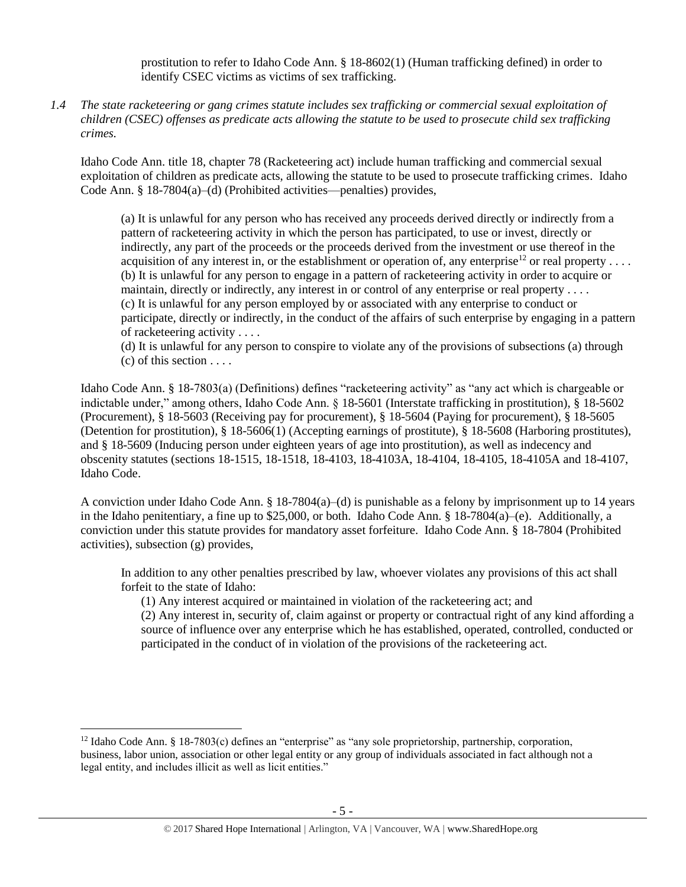prostitution to refer to Idaho Code Ann. § 18-8602(1) (Human trafficking defined) in order to identify CSEC victims as victims of sex trafficking.

*1.4 The state racketeering or gang crimes statute includes sex trafficking or commercial sexual exploitation of children (CSEC) offenses as predicate acts allowing the statute to be used to prosecute child sex trafficking crimes.* 

Idaho Code Ann. title 18, chapter 78 (Racketeering act) include human trafficking and commercial sexual exploitation of children as predicate acts, allowing the statute to be used to prosecute trafficking crimes. Idaho Code Ann. § 18-7804(a)–(d) (Prohibited activities—penalties) provides,

(a) It is unlawful for any person who has received any proceeds derived directly or indirectly from a pattern of racketeering activity in which the person has participated, to use or invest, directly or indirectly, any part of the proceeds or the proceeds derived from the investment or use thereof in the acquisition of any interest in, or the establishment or operation of, any enterprise<sup>12</sup> or real property . . . . (b) It is unlawful for any person to engage in a pattern of racketeering activity in order to acquire or maintain, directly or indirectly, any interest in or control of any enterprise or real property .... (c) It is unlawful for any person employed by or associated with any enterprise to conduct or participate, directly or indirectly, in the conduct of the affairs of such enterprise by engaging in a pattern of racketeering activity . . . .

(d) It is unlawful for any person to conspire to violate any of the provisions of subsections (a) through  $(c)$  of this section  $\dots$ .

Idaho Code Ann. § 18-7803(a) (Definitions) defines "racketeering activity" as "any act which is chargeable or indictable under," among others, Idaho Code Ann. § 18-5601 (Interstate trafficking in prostitution), § 18-5602 (Procurement), § 18-5603 (Receiving pay for procurement), § 18-5604 (Paying for procurement), § 18-5605 (Detention for prostitution), § 18-5606(1) (Accepting earnings of prostitute), § 18-5608 (Harboring prostitutes), and § 18-5609 (Inducing person under eighteen years of age into prostitution), as well as indecency and obscenity statutes (sections 18-1515, 18-1518, 18-4103, 18-4103A, 18-4104, 18-4105, 18-4105A and 18-4107, Idaho Code.

A conviction under Idaho Code Ann. § 18-7804(a)–(d) is punishable as a felony by imprisonment up to 14 years in the Idaho penitentiary, a fine up to \$25,000, or both. Idaho Code Ann. § 18-7804(a)–(e). Additionally, a conviction under this statute provides for mandatory asset forfeiture. Idaho Code Ann. § 18-7804 (Prohibited activities), subsection (g) provides,

In addition to any other penalties prescribed by law, whoever violates any provisions of this act shall forfeit to the state of Idaho:

(1) Any interest acquired or maintained in violation of the racketeering act; and

(2) Any interest in, security of, claim against or property or contractual right of any kind affording a source of influence over any enterprise which he has established, operated, controlled, conducted or participated in the conduct of in violation of the provisions of the racketeering act.

<sup>12</sup> Idaho Code Ann. § 18-7803(c) defines an "enterprise" as "any sole proprietorship, partnership, corporation, business, labor union, association or other legal entity or any group of individuals associated in fact although not a legal entity, and includes illicit as well as licit entities."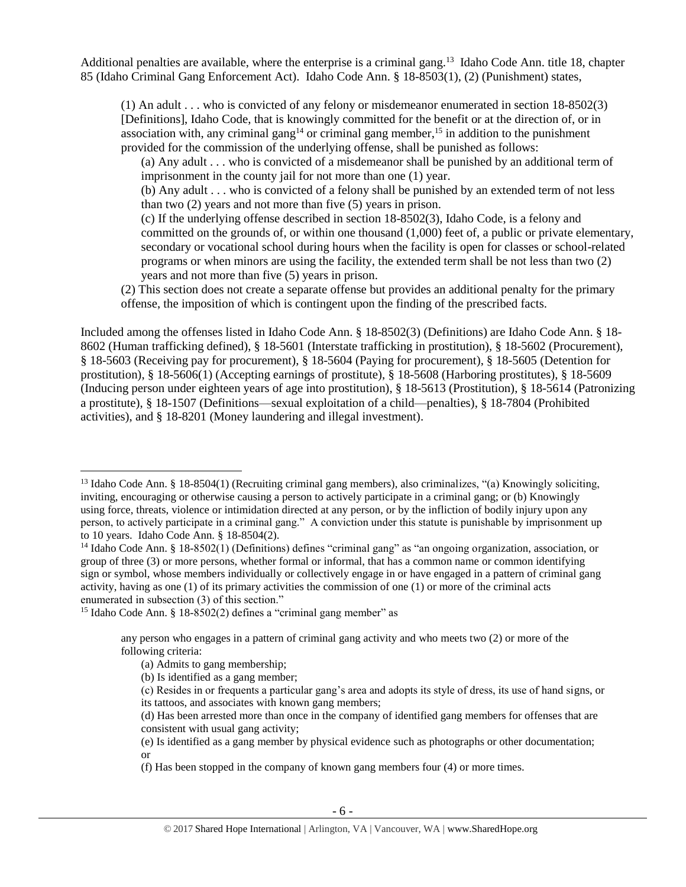Additional penalties are available, where the enterprise is a criminal gang.<sup>13</sup> Idaho Code Ann. title 18, chapter 85 (Idaho Criminal Gang Enforcement Act). Idaho Code Ann. § 18-8503(1), (2) (Punishment) states,

(1) An adult . . . who is convicted of any felony or misdemeanor enumerated in section 18-8502(3) [Definitions], Idaho Code, that is knowingly committed for the benefit or at the direction of, or in association with, any criminal gang<sup>14</sup> or criminal gang member,<sup>15</sup> in addition to the punishment provided for the commission of the underlying offense, shall be punished as follows:

(a) Any adult . . . who is convicted of a misdemeanor shall be punished by an additional term of imprisonment in the county jail for not more than one (1) year.

(b) Any adult . . . who is convicted of a felony shall be punished by an extended term of not less than two (2) years and not more than five (5) years in prison.

(c) If the underlying offense described in section 18-8502(3), Idaho Code, is a felony and committed on the grounds of, or within one thousand (1,000) feet of, a public or private elementary, secondary or vocational school during hours when the facility is open for classes or school-related programs or when minors are using the facility, the extended term shall be not less than two (2) years and not more than five (5) years in prison.

(2) This section does not create a separate offense but provides an additional penalty for the primary offense, the imposition of which is contingent upon the finding of the prescribed facts.

Included among the offenses listed in Idaho Code Ann. § 18-8502(3) (Definitions) are Idaho Code Ann. § 18- 8602 (Human trafficking defined), § 18-5601 (Interstate trafficking in prostitution), § 18-5602 (Procurement), § 18-5603 (Receiving pay for procurement), § 18-5604 (Paying for procurement), § 18-5605 (Detention for prostitution), § 18-5606(1) (Accepting earnings of prostitute), § 18-5608 (Harboring prostitutes), § 18-5609 (Inducing person under eighteen years of age into prostitution), § 18-5613 (Prostitution), § 18-5614 (Patronizing a prostitute), § 18-1507 (Definitions—sexual exploitation of a child—penalties), § 18-7804 (Prohibited activities), and § 18-8201 (Money laundering and illegal investment).

<sup>&</sup>lt;sup>13</sup> Idaho Code Ann. § 18-8504(1) (Recruiting criminal gang members), also criminalizes, "(a) Knowingly soliciting, inviting, encouraging or otherwise causing a person to actively participate in a criminal gang; or (b) Knowingly using force, threats, violence or intimidation directed at any person, or by the infliction of bodily injury upon any person, to actively participate in a criminal gang." A conviction under this statute is punishable by imprisonment up to 10 years. Idaho Code Ann. § 18-8504(2).

<sup>&</sup>lt;sup>14</sup> Idaho Code Ann. § 18-8502(1) (Definitions) defines "criminal gang" as "an ongoing organization, association, or group of three (3) or more persons, whether formal or informal, that has a common name or common identifying sign or symbol, whose members individually or collectively engage in or have engaged in a pattern of criminal gang activity, having as one (1) of its primary activities the commission of one (1) or more of the criminal acts enumerated in subsection (3) of this section."

<sup>&</sup>lt;sup>15</sup> Idaho Code Ann. § 18-8502(2) defines a "criminal gang member" as

any person who engages in a pattern of criminal gang activity and who meets two (2) or more of the following criteria:

<sup>(</sup>a) Admits to gang membership;

<sup>(</sup>b) Is identified as a gang member;

<sup>(</sup>c) Resides in or frequents a particular gang's area and adopts its style of dress, its use of hand signs, or its tattoos, and associates with known gang members;

<sup>(</sup>d) Has been arrested more than once in the company of identified gang members for offenses that are consistent with usual gang activity;

<sup>(</sup>e) Is identified as a gang member by physical evidence such as photographs or other documentation; or

<sup>(</sup>f) Has been stopped in the company of known gang members four (4) or more times.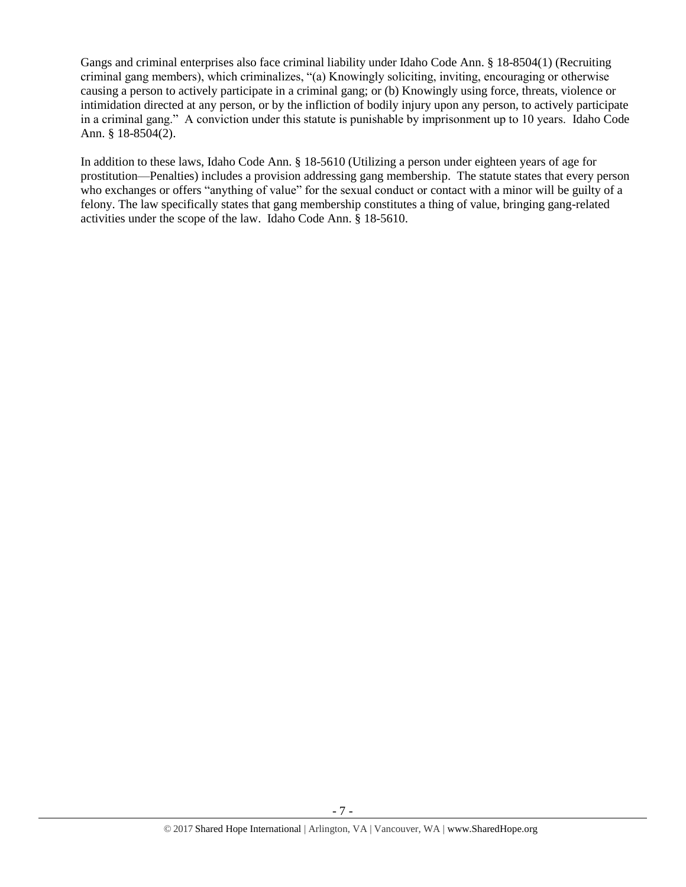Gangs and criminal enterprises also face criminal liability under Idaho Code Ann. § 18-8504(1) (Recruiting criminal gang members), which criminalizes, "(a) Knowingly soliciting, inviting, encouraging or otherwise causing a person to actively participate in a criminal gang; or (b) Knowingly using force, threats, violence or intimidation directed at any person, or by the infliction of bodily injury upon any person, to actively participate in a criminal gang." A conviction under this statute is punishable by imprisonment up to 10 years. Idaho Code Ann. § 18-8504(2).

In addition to these laws, Idaho Code Ann. § 18-5610 (Utilizing a person under eighteen years of age for prostitution—Penalties) includes a provision addressing gang membership. The statute states that every person who exchanges or offers "anything of value" for the sexual conduct or contact with a minor will be guilty of a felony. The law specifically states that gang membership constitutes a thing of value, bringing gang-related activities under the scope of the law. Idaho Code Ann. § 18-5610.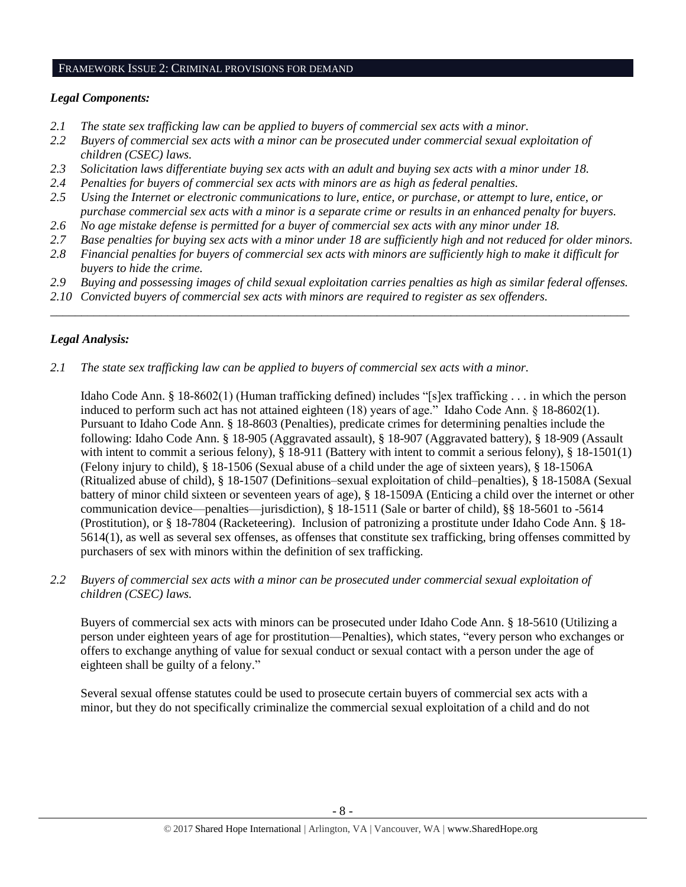#### FRAMEWORK ISSUE 2: CRIMINAL PROVISIONS FOR DEMAND

# *Legal Components:*

- *2.1 The state sex trafficking law can be applied to buyers of commercial sex acts with a minor.*
- *2.2 Buyers of commercial sex acts with a minor can be prosecuted under commercial sexual exploitation of children (CSEC) laws.*
- *2.3 Solicitation laws differentiate buying sex acts with an adult and buying sex acts with a minor under 18.*
- *2.4 Penalties for buyers of commercial sex acts with minors are as high as federal penalties.*
- *2.5 Using the Internet or electronic communications to lure, entice, or purchase, or attempt to lure, entice, or purchase commercial sex acts with a minor is a separate crime or results in an enhanced penalty for buyers.*
- *2.6 No age mistake defense is permitted for a buyer of commercial sex acts with any minor under 18.*
- *2.7 Base penalties for buying sex acts with a minor under 18 are sufficiently high and not reduced for older minors.*
- *2.8 Financial penalties for buyers of commercial sex acts with minors are sufficiently high to make it difficult for buyers to hide the crime.*
- *2.9 Buying and possessing images of child sexual exploitation carries penalties as high as similar federal offenses.*

\_\_\_\_\_\_\_\_\_\_\_\_\_\_\_\_\_\_\_\_\_\_\_\_\_\_\_\_\_\_\_\_\_\_\_\_\_\_\_\_\_\_\_\_\_\_\_\_\_\_\_\_\_\_\_\_\_\_\_\_\_\_\_\_\_\_\_\_\_\_\_\_\_\_\_\_\_\_\_\_\_\_\_\_\_\_\_\_\_\_\_\_\_\_

*2.10 Convicted buyers of commercial sex acts with minors are required to register as sex offenders.* 

## *Legal Analysis:*

*2.1 The state sex trafficking law can be applied to buyers of commercial sex acts with a minor.*

Idaho Code Ann. § 18-8602(1) (Human trafficking defined) includes "[s]ex trafficking . . . in which the person induced to perform such act has not attained eighteen (18) years of age." Idaho Code Ann. § 18-8602(1). Pursuant to Idaho Code Ann. § 18-8603 (Penalties), predicate crimes for determining penalties include the following: Idaho Code Ann. § 18-905 (Aggravated assault), § 18-907 (Aggravated battery), § 18-909 (Assault with intent to commit a serious felony), § 18-911 (Battery with intent to commit a serious felony), § 18-1501(1) (Felony injury to child), § 18-1506 (Sexual abuse of a child under the age of sixteen years), § 18-1506A (Ritualized abuse of child), § 18-1507 (Definitions–sexual exploitation of child–penalties), § 18-1508A (Sexual battery of minor child sixteen or seventeen years of age), § 18-1509A (Enticing a child over the internet or other communication device—penalties—jurisdiction), § 18-1511 (Sale or barter of child), §§ 18-5601 to -5614 (Prostitution), or § 18-7804 (Racketeering). Inclusion of patronizing a prostitute under Idaho Code Ann. § 18- 5614(1), as well as several sex offenses, as offenses that constitute sex trafficking, bring offenses committed by purchasers of sex with minors within the definition of sex trafficking.

*2.2 Buyers of commercial sex acts with a minor can be prosecuted under commercial sexual exploitation of children (CSEC) laws.*

Buyers of commercial sex acts with minors can be prosecuted under Idaho Code Ann. § 18-5610 (Utilizing a person under eighteen years of age for prostitution—Penalties), which states, "every person who exchanges or offers to exchange anything of value for sexual conduct or sexual contact with a person under the age of eighteen shall be guilty of a felony."

Several sexual offense statutes could be used to prosecute certain buyers of commercial sex acts with a minor, but they do not specifically criminalize the commercial sexual exploitation of a child and do not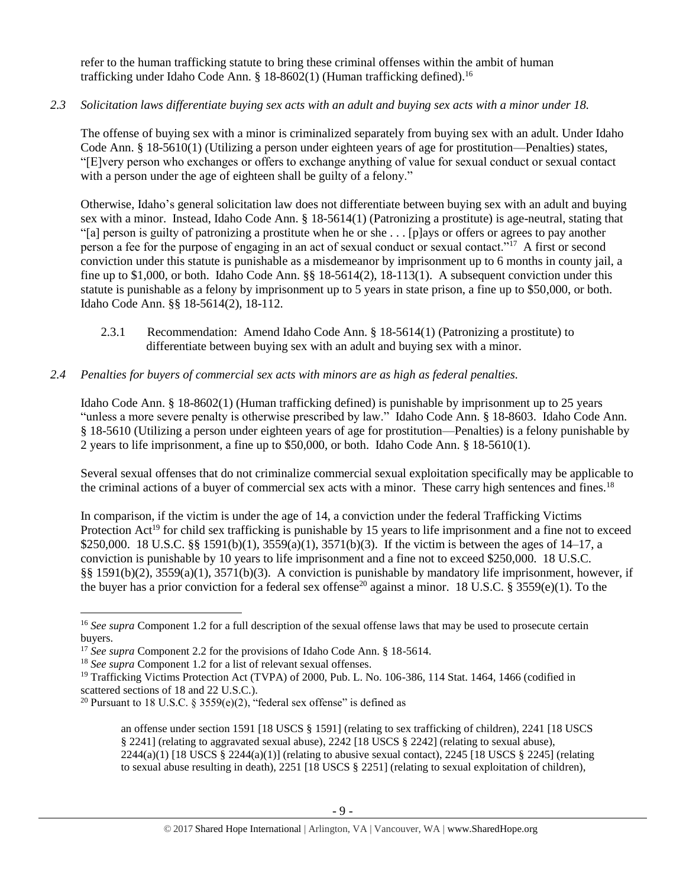refer to the human trafficking statute to bring these criminal offenses within the ambit of human trafficking under Idaho Code Ann. § 18-8602(1) (Human trafficking defined).<sup>16</sup>

# *2.3 Solicitation laws differentiate buying sex acts with an adult and buying sex acts with a minor under 18.*

The offense of buying sex with a minor is criminalized separately from buying sex with an adult. Under Idaho Code Ann. § 18-5610(1) (Utilizing a person under eighteen years of age for prostitution—Penalties) states, "[E]very person who exchanges or offers to exchange anything of value for sexual conduct or sexual contact with a person under the age of eighteen shall be guilty of a felony."

Otherwise, Idaho's general solicitation law does not differentiate between buying sex with an adult and buying sex with a minor. Instead, Idaho Code Ann. § 18-5614(1) (Patronizing a prostitute) is age-neutral, stating that "[a] person is guilty of patronizing a prostitute when he or she . . . [p]ays or offers or agrees to pay another person a fee for the purpose of engaging in an act of sexual conduct or sexual contact."<sup>17</sup> A first or second conviction under this statute is punishable as a misdemeanor by imprisonment up to 6 months in county jail, a fine up to \$1,000, or both. Idaho Code Ann. §§ 18-5614(2), 18-113(1). A subsequent conviction under this statute is punishable as a felony by imprisonment up to 5 years in state prison, a fine up to \$50,000, or both. Idaho Code Ann. §§ 18-5614(2), 18-112.

2.3.1 Recommendation: Amend Idaho Code Ann. § 18-5614(1) (Patronizing a prostitute) to differentiate between buying sex with an adult and buying sex with a minor.

# *2.4 Penalties for buyers of commercial sex acts with minors are as high as federal penalties.*

Idaho Code Ann. § 18-8602(1) (Human trafficking defined) is punishable by imprisonment up to 25 years "unless a more severe penalty is otherwise prescribed by law." Idaho Code Ann. § 18-8603. Idaho Code Ann. § 18-5610 (Utilizing a person under eighteen years of age for prostitution—Penalties) is a felony punishable by 2 years to life imprisonment, a fine up to \$50,000, or both. Idaho Code Ann. § 18-5610(1).

Several sexual offenses that do not criminalize commercial sexual exploitation specifically may be applicable to the criminal actions of a buyer of commercial sex acts with a minor. These carry high sentences and fines.<sup>18</sup>

<span id="page-8-0"></span>In comparison, if the victim is under the age of 14, a conviction under the federal Trafficking Victims Protection Act<sup>19</sup> for child sex trafficking is punishable by 15 years to life imprisonment and a fine not to exceed \$250,000. 18 U.S.C. §§ 1591(b)(1), 3559(a)(1), 3571(b)(3). If the victim is between the ages of 14–17, a conviction is punishable by 10 years to life imprisonment and a fine not to exceed \$250,000. 18 U.S.C. §§ 1591(b)(2), 3559(a)(1), 3571(b)(3). A conviction is punishable by mandatory life imprisonment, however, if the buyer has a prior conviction for a federal sex offense<sup>20</sup> against a minor. 18 U.S.C. § 3559(e)(1). To the

 $\overline{\phantom{a}}$ <sup>16</sup> *See supra* Component 1.2 for a full description of the sexual offense laws that may be used to prosecute certain buyers.

<sup>&</sup>lt;sup>17</sup> *See supra* Component 2.2 for the provisions of Idaho Code Ann. § 18-5614.

<sup>18</sup> *See supra* Component 1.2 for a list of relevant sexual offenses.

<sup>&</sup>lt;sup>19</sup> Trafficking Victims Protection Act (TVPA) of 2000, Pub. L. No. 106-386, 114 Stat. 1464, 1466 (codified in scattered sections of 18 and 22 U.S.C.).

<sup>&</sup>lt;sup>20</sup> Pursuant to 18 U.S.C. § 3559(e)(2), "federal sex offense" is defined as

<span id="page-8-1"></span>an offense under section 1591 [18 USCS § 1591] (relating to sex trafficking of children), 2241 [18 USCS § 2241] (relating to aggravated sexual abuse), 2242 [18 USCS § 2242] (relating to sexual abuse),  $2244(a)(1)$  [18 USCS §  $2244(a)(1)$ ] (relating to abusive sexual contact),  $2245$  [18 USCS § 2245] (relating to sexual abuse resulting in death), 2251 [18 USCS § 2251] (relating to sexual exploitation of children),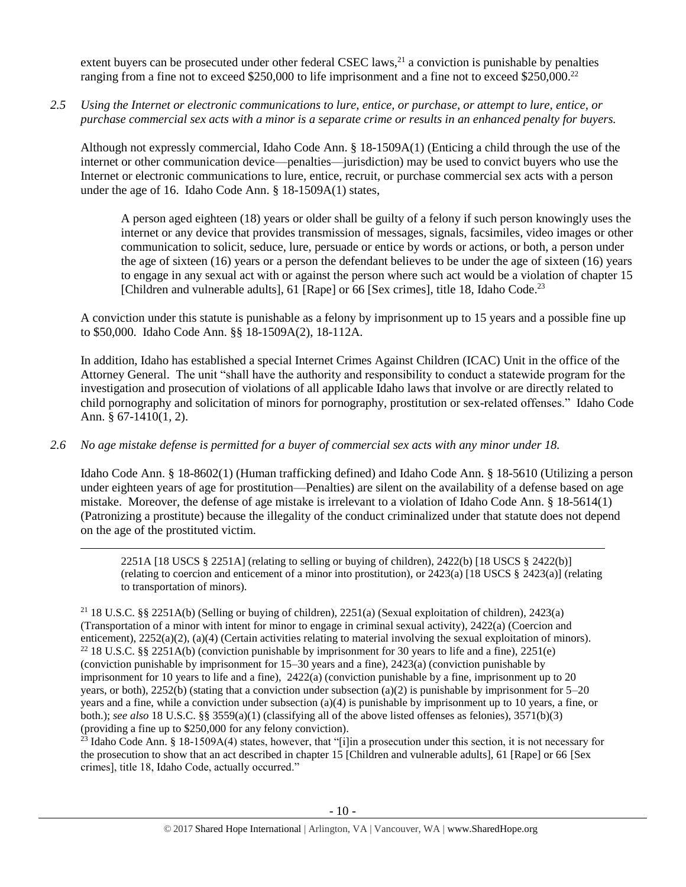extent buyers can be prosecuted under other federal CSEC laws, $^{21}$  a conviction is punishable by penalties ranging from a fine not to exceed \$250,000 to life imprisonment and a fine not to exceed \$250,000.<sup>22</sup>

*2.5 Using the Internet or electronic communications to lure, entice, or purchase, or attempt to lure, entice, or purchase commercial sex acts with a minor is a separate crime or results in an enhanced penalty for buyers.*

Although not expressly commercial, Idaho Code Ann. § 18-1509A(1) (Enticing a child through the use of the internet or other communication device—penalties—jurisdiction) may be used to convict buyers who use the Internet or electronic communications to lure, entice, recruit, or purchase commercial sex acts with a person under the age of 16. Idaho Code Ann. § 18-1509A(1) states,

A person aged eighteen (18) years or older shall be guilty of a felony if such person knowingly uses the internet or any device that provides transmission of messages, signals, facsimiles, video images or other communication to solicit, seduce, lure, persuade or entice by words or actions, or both, a person under the age of sixteen (16) years or a person the defendant believes to be under the age of sixteen (16) years to engage in any sexual act with or against the person where such act would be a violation of chapter 15 [Children and vulnerable adults], 61 [Rape] or 66 [Sex crimes], [title 18,](http://www.legislature.idaho.gov/idstat/Title18/T18.htm) Idaho Code.<sup>23</sup>

A conviction under this statute is punishable as a felony by imprisonment up to 15 years and a possible fine up to \$50,000. Idaho Code Ann. §§ 18-1509A(2), 18-112A.

In addition, Idaho has established a special Internet Crimes Against Children (ICAC) Unit in the office of the Attorney General. The unit "shall have the authority and responsibility to conduct a statewide program for the investigation and prosecution of violations of all applicable Idaho laws that involve or are directly related to child pornography and solicitation of minors for pornography, prostitution or sex-related offenses." Idaho Code Ann. § 67-1410(1, 2).

## *2.6 No age mistake defense is permitted for a buyer of commercial sex acts with any minor under 18.*

 $\overline{\phantom{a}}$ 

Idaho Code Ann. § 18-8602(1) (Human trafficking defined) and Idaho Code Ann. § 18-5610 (Utilizing a person under eighteen years of age for prostitution—Penalties) are silent on the availability of a defense based on age mistake. Moreover, the defense of age mistake is irrelevant to a violation of Idaho Code Ann. § 18-5614(1) (Patronizing a prostitute) because the illegality of the conduct criminalized under that statute does not depend on the age of the prostituted victim.

2251A [18 USCS § 2251A] (relating to selling or buying of children), 2422(b) [18 USCS § 2422(b)] (relating to coercion and enticement of a minor into prostitution), or 2423(a) [18 USCS § 2423(a)] (relating to transportation of minors).

<sup>21</sup> 18 U.S.C. §§ 2251A(b) (Selling or buying of children), 2251(a) (Sexual exploitation of children), 2423(a) (Transportation of a minor with intent for minor to engage in criminal sexual activity), 2422(a) (Coercion and enticement), 2252(a)(2), (a)(4) (Certain activities relating to material involving the sexual exploitation of minors). <sup>22</sup> 18 U.S.C. §§ 2251A(b) (conviction punishable by imprisonment for 30 years to life and a fine), 2251(e) (conviction punishable by imprisonment for 15–30 years and a fine), 2423(a) (conviction punishable by imprisonment for 10 years to life and a fine),  $2422(a)$  (conviction punishable by a fine, imprisonment up to 20 years, or both), 2252(b) (stating that a conviction under subsection (a)(2) is punishable by imprisonment for 5–20 years and a fine, while a conviction under subsection (a)(4) is punishable by imprisonment up to 10 years, a fine, or both.); *see also* 18 U.S.C. §§ 3559(a)(1) (classifying all of the above listed offenses as felonies), 3571(b)(3) (providing a fine up to \$250,000 for any felony conviction).

<sup>23</sup> Idaho Code Ann. § 18-1509A(4) states, however, that "[i]in a prosecution under this section, it is not necessary for the prosecution to show that an act described in chapter 15 [Children and vulnerable adults], 61 [Rape] or 66 [Sex crimes], title 18, Idaho Code, actually occurred."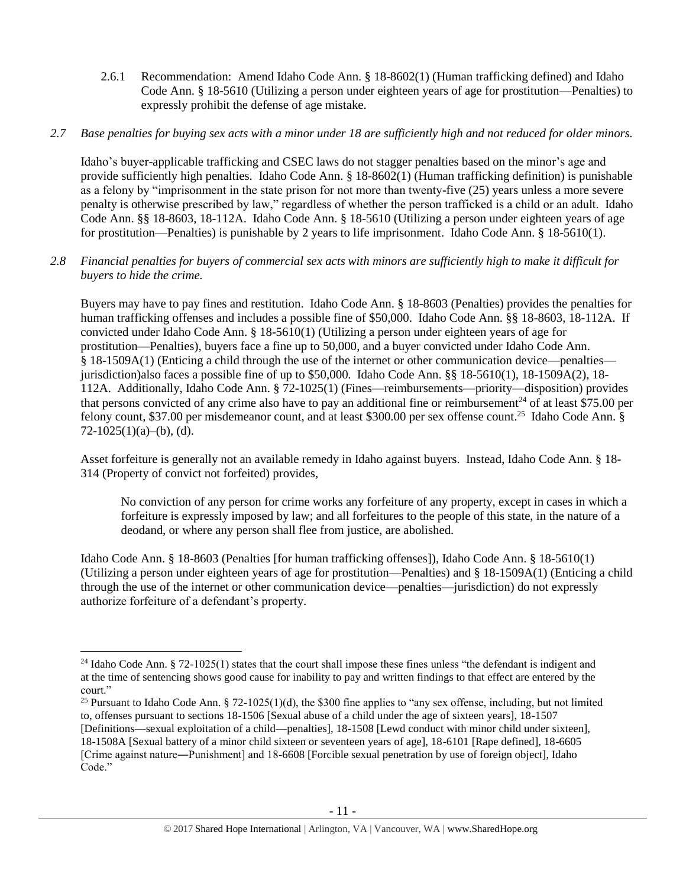2.6.1 Recommendation: Amend Idaho Code Ann. § 18-8602(1) (Human trafficking defined) and Idaho Code Ann. § 18-5610 (Utilizing a person under eighteen years of age for prostitution—Penalties) to expressly prohibit the defense of age mistake.

# *2.7 Base penalties for buying sex acts with a minor under 18 are sufficiently high and not reduced for older minors.*

Idaho's buyer-applicable trafficking and CSEC laws do not stagger penalties based on the minor's age and provide sufficiently high penalties. Idaho Code Ann. § 18-8602(1) (Human trafficking definition) is punishable as a felony by "imprisonment in the state prison for not more than twenty-five (25) years unless a more severe penalty is otherwise prescribed by law," regardless of whether the person trafficked is a child or an adult. Idaho Code Ann. §§ 18-8603, 18-112A. Idaho Code Ann. § 18-5610 (Utilizing a person under eighteen years of age for prostitution—Penalties) is punishable by 2 years to life imprisonment. Idaho Code Ann. § 18-5610(1).

# *2.8 Financial penalties for buyers of commercial sex acts with minors are sufficiently high to make it difficult for buyers to hide the crime.*

Buyers may have to pay fines and restitution. Idaho Code Ann. § 18-8603 (Penalties) provides the penalties for human trafficking offenses and includes a possible fine of \$50,000. Idaho Code Ann. §§ 18-8603, 18-112A. If convicted under Idaho Code Ann. § 18-5610(1) (Utilizing a person under eighteen years of age for prostitution—Penalties), buyers face a fine up to 50,000, and a buyer convicted under Idaho Code Ann. § 18-1509A(1) (Enticing a child through the use of the internet or other communication device—penalties jurisdiction)also faces a possible fine of up to \$50,000. Idaho Code Ann. §§ 18-5610(1), 18-1509A(2), 18- 112A. Additionally, Idaho Code Ann. § 72-1025(1) (Fines—reimbursements—priority—disposition) provides that persons convicted of any crime also have to pay an additional fine or reimbursement<sup>24</sup> of at least \$75.00 per felony count, \$37.00 per misdemeanor count, and at least \$300.00 per sex offense count.<sup>25</sup> Idaho Code Ann. §  $72-1025(1)(a)–(b)$ , (d).

Asset forfeiture is generally not an available remedy in Idaho against buyers. Instead, Idaho Code Ann. § 18- 314 (Property of convict not forfeited) provides,

<span id="page-10-0"></span>No conviction of any person for crime works any forfeiture of any property, except in cases in which a forfeiture is expressly imposed by law; and all forfeitures to the people of this state, in the nature of a deodand, or where any person shall flee from justice, are abolished.

Idaho Code Ann. § 18-8603 (Penalties [for human trafficking offenses]), Idaho Code Ann. § 18-5610(1) (Utilizing a person under eighteen years of age for prostitution—Penalties) and § 18-1509A(1) (Enticing a child through the use of the internet or other communication device—penalties—jurisdiction) do not expressly authorize forfeiture of a defendant's property.

<sup>&</sup>lt;sup>24</sup> Idaho Code Ann. § 72-1025(1) states that the court shall impose these fines unless "the defendant is indigent and at the time of sentencing shows good cause for inability to pay and written findings to that effect are entered by the court."

<sup>&</sup>lt;sup>25</sup> Pursuant to Idaho Code Ann. § 72-1025(1)(d), the \$300 fine applies to "any sex offense, including, but not limited to, offenses pursuant to sections 18-1506 [Sexual abuse of a child under the age of sixteen years], 18-1507 [Definitions—sexual exploitation of a child—penalties], 18-1508 [Lewd conduct with minor child under sixteen], 18-1508A [Sexual battery of a minor child sixteen or seventeen years of age], 18-6101 [Rape defined], 18-6605 [Crime against nature―Punishment] and 18-6608 [Forcible sexual penetration by use of foreign object], Idaho Code."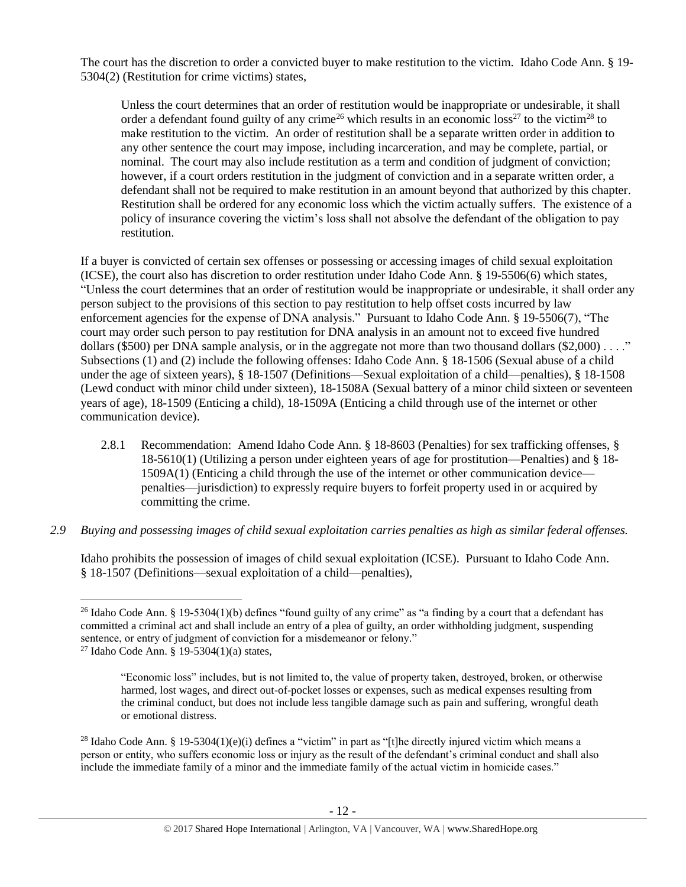The court has the discretion to order a convicted buyer to make restitution to the victim. Idaho Code Ann. § 19- 5304(2) (Restitution for crime victims) states,

<span id="page-11-2"></span><span id="page-11-1"></span><span id="page-11-0"></span>Unless the court determines that an order of restitution would be inappropriate or undesirable, it shall order a defendant found guilty of any crime<sup>26</sup> which results in an economic loss<sup>27</sup> to the victim<sup>28</sup> to make restitution to the victim. An order of restitution shall be a separate written order in addition to any other sentence the court may impose, including incarceration, and may be complete, partial, or nominal. The court may also include restitution as a term and condition of judgment of conviction; however, if a court orders restitution in the judgment of conviction and in a separate written order, a defendant shall not be required to make restitution in an amount beyond that authorized by this chapter. Restitution shall be ordered for any economic loss which the victim actually suffers. The existence of a policy of insurance covering the victim's loss shall not absolve the defendant of the obligation to pay restitution.

If a buyer is convicted of certain sex offenses or possessing or accessing images of child sexual exploitation (ICSE), the court also has discretion to order restitution under Idaho Code Ann. § 19-5506(6) which states, "Unless the court determines that an order of restitution would be inappropriate or undesirable, it shall order any person subject to the provisions of this section to pay restitution to help offset costs incurred by law enforcement agencies for the expense of DNA analysis." Pursuant to Idaho Code Ann. § 19-5506(7), "The court may order such person to pay restitution for DNA analysis in an amount not to exceed five hundred dollars (\$500) per DNA sample analysis, or in the aggregate not more than two thousand dollars (\$2,000) . . . ." Subsections (1) and (2) include the following offenses: Idaho Code Ann. § 18-1506 (Sexual abuse of a child under the age of sixteen years), § 18-1507 (Definitions—Sexual exploitation of a child—penalties), § 18-1508 (Lewd conduct with minor child under sixteen), 18-1508A (Sexual battery of a minor child sixteen or seventeen years of age), 18-1509 (Enticing a child), 18-1509A (Enticing a child through use of the internet or other communication device).

- 2.8.1 Recommendation: Amend Idaho Code Ann. § 18-8603 (Penalties) for sex trafficking offenses, § 18-5610(1) (Utilizing a person under eighteen years of age for prostitution—Penalties) and § 18- 1509A(1) (Enticing a child through the use of the internet or other communication device penalties—jurisdiction) to expressly require buyers to forfeit property used in or acquired by committing the crime.
- *2.9 Buying and possessing images of child sexual exploitation carries penalties as high as similar federal offenses.*

Idaho prohibits the possession of images of child sexual exploitation (ICSE). Pursuant to Idaho Code Ann. § 18-1507 (Definitions—sexual exploitation of a child—penalties),

 $\overline{a}$ <sup>26</sup> Idaho Code Ann. § 19-5304(1)(b) defines "found guilty of any crime" as "a finding by a court that a defendant has committed a criminal act and shall include an entry of a plea of guilty, an order withholding judgment, suspending sentence, or entry of judgment of conviction for a misdemeanor or felony."

<sup>&</sup>lt;sup>27</sup> Idaho Code Ann. § 19-5304(1)(a) states,

<sup>&</sup>quot;Economic loss" includes, but is not limited to, the value of property taken, destroyed, broken, or otherwise harmed, lost wages, and direct out-of-pocket losses or expenses, such as medical expenses resulting from the criminal conduct, but does not include less tangible damage such as pain and suffering, wrongful death or emotional distress.

<sup>&</sup>lt;sup>28</sup> Idaho Code Ann. § 19-5304(1)(e)(i) defines a "victim" in part as "[t]he directly injured victim which means a person or entity, who suffers economic loss or injury as the result of the defendant's criminal conduct and shall also include the immediate family of a minor and the immediate family of the actual victim in homicide cases."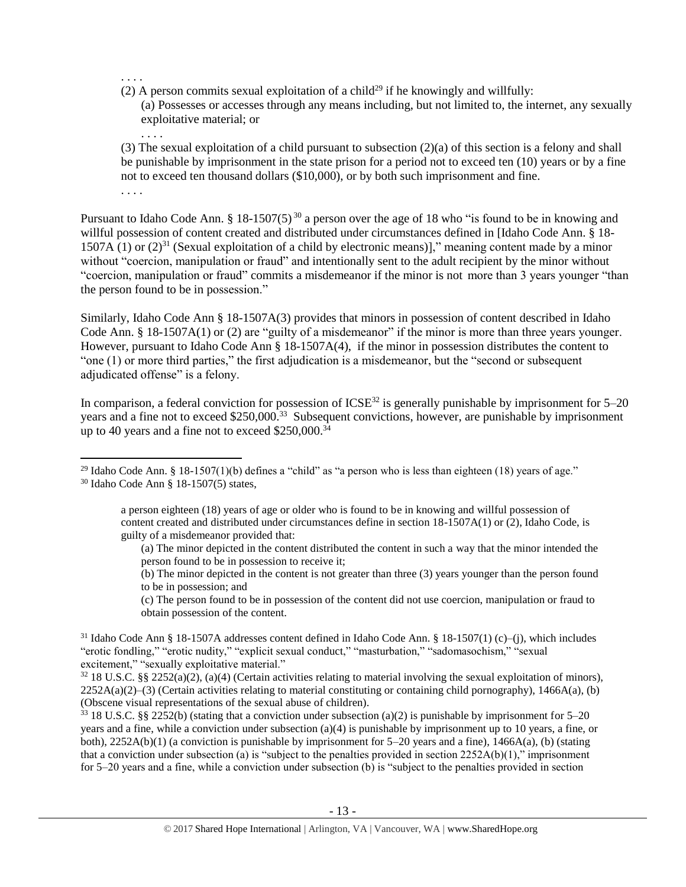. . . .

- (2) A person commits sexual exploitation of a child<sup>29</sup> if he knowingly and willfully:
	- (a) Possesses or accesses through any means including, but not limited to, the internet, any sexually exploitative material; or . . . .

(3) The sexual exploitation of a child pursuant to subsection (2)(a) of this section is a felony and shall be punishable by imprisonment in the state prison for a period not to exceed ten (10) years or by a fine not to exceed ten thousand dollars (\$10,000), or by both such imprisonment and fine. . . . .

Pursuant to Idaho Code Ann. § 18-1507(5)<sup>30</sup> a person over the age of 18 who "is found to be in knowing and willful possession of content created and distributed under circumstances defined in [Idaho Code Ann. § 18-1507A (1) or  $(2)^{31}$  (Sexual exploitation of a child by electronic means)]," meaning content made by a minor without "coercion, manipulation or fraud" and intentionally sent to the adult recipient by the minor without "coercion, manipulation or fraud" commits a misdemeanor if the minor is not more than 3 years younger "than the person found to be in possession."

Similarly, Idaho Code Ann § 18-1507A(3) provides that minors in possession of content described in Idaho Code Ann. § 18-1507A(1) or (2) are "guilty of a misdemeanor" if the minor is more than three years younger. However, pursuant to Idaho Code Ann § 18-1507A(4), if the minor in possession distributes the content to "one (1) or more third parties," the first adjudication is a misdemeanor, but the "second or subsequent adjudicated offense" is a felony.

In comparison, a federal conviction for possession of  $ICSE^{32}$  is generally punishable by imprisonment for  $5-20$ years and a fine not to exceed \$250,000.<sup>33</sup> Subsequent convictions, however, are punishable by imprisonment up to 40 years and a fine not to exceed \$250,000.<sup>34</sup>

 $33\,18$  U.S.C. §§ 2252(b) (stating that a conviction under subsection (a)(2) is punishable by imprisonment for 5–20 years and a fine, while a conviction under subsection (a)(4) is punishable by imprisonment up to 10 years, a fine, or both),  $2252A(b)(1)$  (a conviction is punishable by imprisonment for 5–20 years and a fine),  $1466A(a)$ , (b) (stating that a conviction under subsection (a) is "subject to the penalties provided in section  $2252A(b)(1)$ ," imprisonment for 5–20 years and a fine, while a conviction under subsection (b) is "subject to the penalties provided in section

 $\overline{\phantom{a}}$ <sup>29</sup> Idaho Code Ann. § 18-1507(1)(b) defines a "child" as "a person who is less than eighteen (18) years of age." <sup>30</sup> Idaho Code Ann § 18-1507(5) states,

a person eighteen (18) years of age or older who is found to be in knowing and willful possession of content created and distributed under circumstances define in section 18-1507A(1) or (2), Idaho Code, is guilty of a misdemeanor provided that:

<sup>(</sup>a) The minor depicted in the content distributed the content in such a way that the minor intended the person found to be in possession to receive it;

<sup>(</sup>b) The minor depicted in the content is not greater than three (3) years younger than the person found to be in possession; and

<sup>(</sup>c) The person found to be in possession of the content did not use coercion, manipulation or fraud to obtain possession of the content.

<sup>&</sup>lt;sup>31</sup> Idaho Code Ann § 18-1507A addresses content defined in Idaho Code Ann. § 18-1507(1) (c)–(i), which includes "erotic fondling," "erotic nudity," "explicit sexual conduct," "masturbation," "sadomasochism," "sexual excitement," "sexually exploitative material."

 $32$  18 U.S.C. §§ 2252(a)(2), (a)(4) (Certain activities relating to material involving the sexual exploitation of minors), 2252A(a)(2)–(3) (Certain activities relating to material constituting or containing child pornography), 1466A(a), (b) (Obscene visual representations of the sexual abuse of children).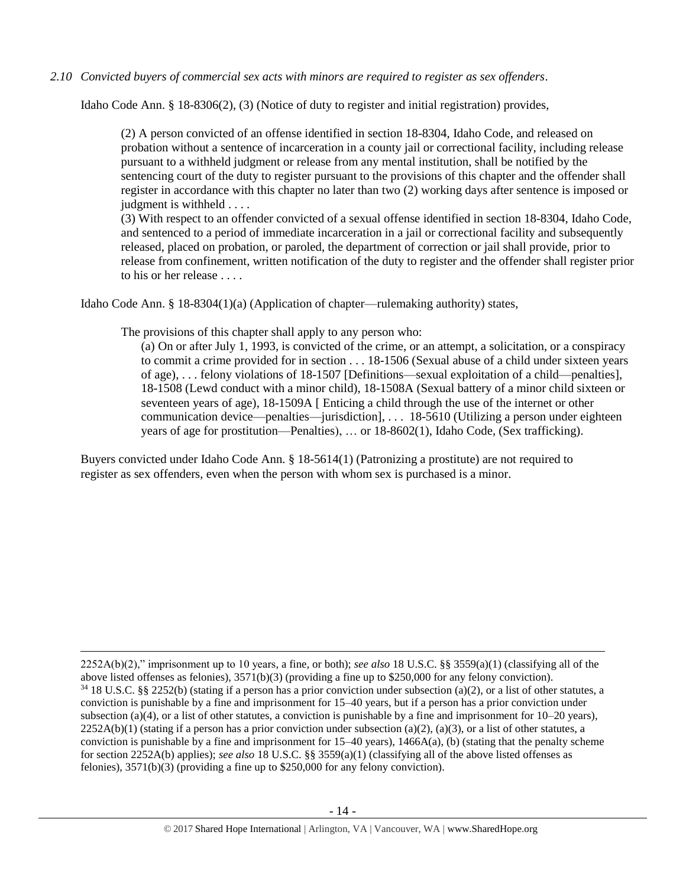*2.10 Convicted buyers of commercial sex acts with minors are required to register as sex offenders*.

Idaho Code Ann. § 18-8306(2), (3) (Notice of duty to register and initial registration) provides,

(2) A person convicted of an offense identified in section 18-8304, Idaho Code, and released on probation without a sentence of incarceration in a county jail or correctional facility, including release pursuant to a withheld judgment or release from any mental institution, shall be notified by the sentencing court of the duty to register pursuant to the provisions of this chapter and the offender shall register in accordance with this chapter no later than two (2) working days after sentence is imposed or judgment is withheld . . . .

(3) With respect to an offender convicted of a sexual offense identified in section 18-8304, Idaho Code, and sentenced to a period of immediate incarceration in a jail or correctional facility and subsequently released, placed on probation, or paroled, the department of correction or jail shall provide, prior to release from confinement, written notification of the duty to register and the offender shall register prior to his or her release . . . .

Idaho Code Ann. § 18-8304(1)(a) (Application of chapter—rulemaking authority) states,

The provisions of this chapter shall apply to any person who:

 $\overline{\phantom{a}}$ 

(a) On or after July 1, 1993, is convicted of the crime, or an attempt, a solicitation, or a conspiracy to commit a crime provided for in section . . . 18-1506 (Sexual abuse of a child under sixteen years of age), . . . felony violations of 18-1507 [Definitions—sexual exploitation of a child—penalties], 18-1508 (Lewd conduct with a minor child), 18-1508A (Sexual battery of a minor child sixteen or seventeen years of age), 18-1509A [ Enticing a child through the use of the internet or other communication device—penalties—jurisdiction], . . . 18-5610 (Utilizing a person under eighteen years of age for prostitution—Penalties), … or 18-8602(1), Idaho Code, (Sex trafficking).

Buyers convicted under Idaho Code Ann. § 18-5614(1) (Patronizing a prostitute) are not required to register as sex offenders, even when the person with whom sex is purchased is a minor.

<sup>2252</sup>A(b)(2)," imprisonment up to 10 years, a fine, or both); *see also* 18 U.S.C. §§ 3559(a)(1) (classifying all of the above listed offenses as felonies), 3571(b)(3) (providing a fine up to \$250,000 for any felony conviction).  $34$  18 U.S.C. §§ 2252(b) (stating if a person has a prior conviction under subsection (a)(2), or a list of other statutes, a conviction is punishable by a fine and imprisonment for 15–40 years, but if a person has a prior conviction under subsection (a)(4), or a list of other statutes, a conviction is punishable by a fine and imprisonment for  $10-20$  years),  $2252A(b)(1)$  (stating if a person has a prior conviction under subsection (a)(2), (a)(3), or a list of other statutes, a conviction is punishable by a fine and imprisonment for  $15-40$  years),  $1466A(a)$ , (b) (stating that the penalty scheme for section 2252A(b) applies); *see also* 18 U.S.C. §§ 3559(a)(1) (classifying all of the above listed offenses as felonies), 3571(b)(3) (providing a fine up to \$250,000 for any felony conviction).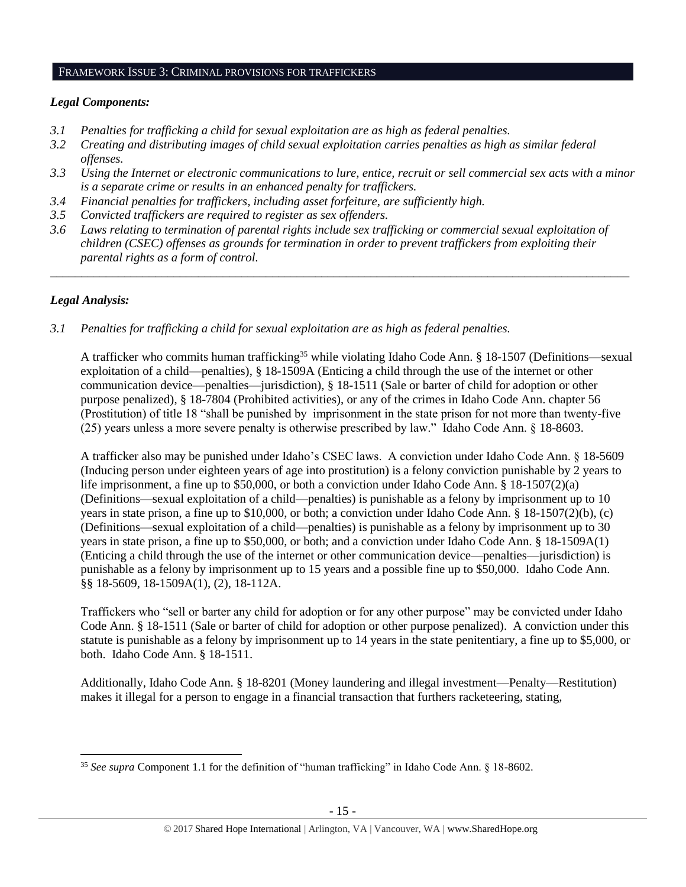#### FRAMEWORK ISSUE 3: CRIMINAL PROVISIONS FOR TRAFFICKERS

### *Legal Components:*

- *3.1 Penalties for trafficking a child for sexual exploitation are as high as federal penalties.*
- *3.2 Creating and distributing images of child sexual exploitation carries penalties as high as similar federal offenses.*
- *3.3 Using the Internet or electronic communications to lure, entice, recruit or sell commercial sex acts with a minor is a separate crime or results in an enhanced penalty for traffickers.*
- *3.4 Financial penalties for traffickers, including asset forfeiture, are sufficiently high.*
- *3.5 Convicted traffickers are required to register as sex offenders.*
- *3.6 Laws relating to termination of parental rights include sex trafficking or commercial sexual exploitation of children (CSEC) offenses as grounds for termination in order to prevent traffickers from exploiting their parental rights as a form of control.*

*\_\_\_\_\_\_\_\_\_\_\_\_\_\_\_\_\_\_\_\_\_\_\_\_\_\_\_\_\_\_\_\_\_\_\_\_\_\_\_\_\_\_\_\_\_\_\_\_\_\_\_\_\_\_\_\_\_\_\_\_\_\_\_\_\_\_\_\_\_\_\_\_\_\_\_\_\_\_\_\_\_\_\_\_\_\_\_\_\_\_\_\_\_\_*

## *Legal Analysis:*

 $\overline{a}$ 

*3.1 Penalties for trafficking a child for sexual exploitation are as high as federal penalties.* 

A trafficker who commits human trafficking<sup>35</sup> while violating Idaho Code Ann. § 18-1507 (Definitions—sexual exploitation of a child—penalties), § 18-1509A (Enticing a child through the use of the internet or other communication device—penalties—jurisdiction), § 18-1511 (Sale or barter of child for adoption or other purpose penalized), § 18-7804 (Prohibited activities), or any of the crimes in Idaho Code Ann. chapter 56 (Prostitution) of title 18 "shall be punished by imprisonment in the state prison for not more than twenty-five (25) years unless a more severe penalty is otherwise prescribed by law." Idaho Code Ann. § 18-8603.

A trafficker also may be punished under Idaho's CSEC laws. A conviction under Idaho Code Ann. § 18-5609 (Inducing person under eighteen years of age into prostitution) is a felony conviction punishable by 2 years to life imprisonment, a fine up to \$50,000, or both a conviction under Idaho Code Ann. § 18-1507(2)(a) (Definitions—sexual exploitation of a child—penalties) is punishable as a felony by imprisonment up to 10 years in state prison, a fine up to \$10,000, or both; a conviction under Idaho Code Ann. § 18-1507(2)(b), (c) (Definitions—sexual exploitation of a child—penalties) is punishable as a felony by imprisonment up to 30 years in state prison, a fine up to \$50,000, or both; and a conviction under Idaho Code Ann. § 18-1509A(1) (Enticing a child through the use of the internet or other communication device—penalties—jurisdiction) is punishable as a felony by imprisonment up to 15 years and a possible fine up to \$50,000. Idaho Code Ann. §§ 18-5609, 18-1509A(1), (2), 18-112A.

Traffickers who "sell or barter any child for adoption or for any other purpose" may be convicted under Idaho Code Ann. § 18-1511 (Sale or barter of child for adoption or other purpose penalized). A conviction under this statute is punishable as a felony by imprisonment up to 14 years in the state penitentiary, a fine up to \$5,000, or both. Idaho Code Ann. § 18-1511.

Additionally, Idaho Code Ann. § 18-8201 (Money laundering and illegal investment—Penalty—Restitution) makes it illegal for a person to engage in a financial transaction that furthers racketeering, stating,

<sup>35</sup> *See supra* Component 1.1 for the definition of "human trafficking" in Idaho Code Ann. § 18-8602.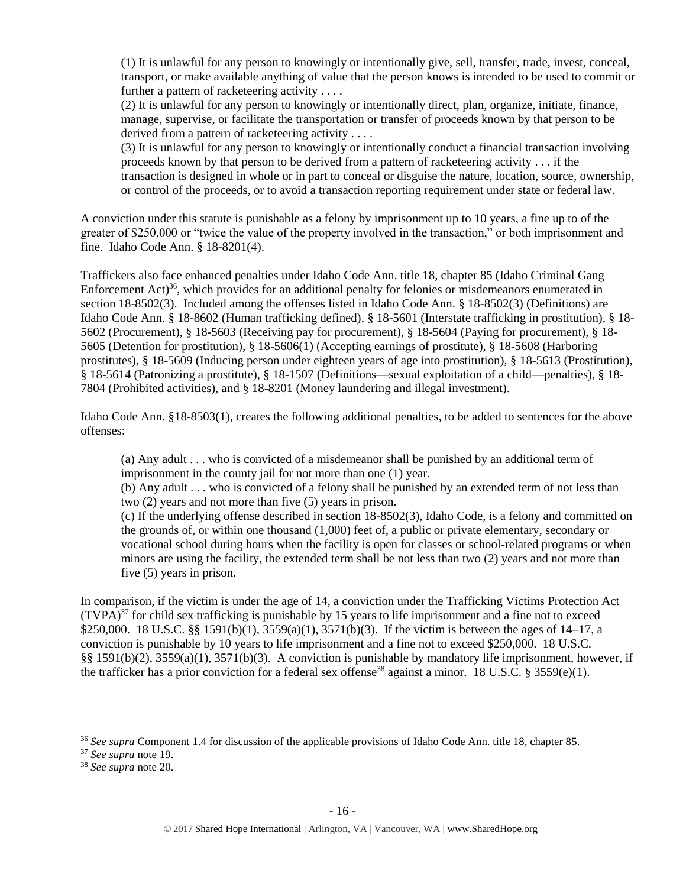(1) It is unlawful for any person to knowingly or intentionally give, sell, transfer, trade, invest, conceal, transport, or make available anything of value that the person knows is intended to be used to commit or further a pattern of racketeering activity . . . .

(2) It is unlawful for any person to knowingly or intentionally direct, plan, organize, initiate, finance, manage, supervise, or facilitate the transportation or transfer of proceeds known by that person to be derived from a pattern of racketeering activity . . . .

(3) It is unlawful for any person to knowingly or intentionally conduct a financial transaction involving proceeds known by that person to be derived from a pattern of racketeering activity . . . if the transaction is designed in whole or in part to conceal or disguise the nature, location, source, ownership, or control of the proceeds, or to avoid a transaction reporting requirement under state or federal law.

A conviction under this statute is punishable as a felony by imprisonment up to 10 years, a fine up to of the greater of \$250,000 or "twice the value of the property involved in the transaction," or both imprisonment and fine. Idaho Code Ann. § 18-8201(4).

Traffickers also face enhanced penalties under Idaho Code Ann. title 18, chapter 85 (Idaho Criminal Gang Enforcement Act)<sup>36</sup>, which provides for an additional penalty for felonies or misdemeanors enumerated in section 18-8502(3). Included among the offenses listed in Idaho Code Ann. § 18-8502(3) (Definitions) are Idaho Code Ann. § 18-8602 (Human trafficking defined), § 18-5601 (Interstate trafficking in prostitution), § 18- 5602 (Procurement), § 18-5603 (Receiving pay for procurement), § 18-5604 (Paying for procurement), § 18- 5605 (Detention for prostitution), § 18-5606(1) (Accepting earnings of prostitute), § 18-5608 (Harboring prostitutes), § 18-5609 (Inducing person under eighteen years of age into prostitution), § 18-5613 (Prostitution), § 18-5614 (Patronizing a prostitute), § 18-1507 (Definitions—sexual exploitation of a child—penalties), § 18- 7804 (Prohibited activities), and § 18-8201 (Money laundering and illegal investment).

Idaho Code Ann. §18-8503(1), creates the following additional penalties, to be added to sentences for the above offenses:

(a) Any adult . . . who is convicted of a misdemeanor shall be punished by an additional term of imprisonment in the county jail for not more than one (1) year.

(b) Any adult . . . who is convicted of a felony shall be punished by an extended term of not less than two (2) years and not more than five (5) years in prison.

(c) If the underlying offense described in section 18-8502(3), Idaho Code, is a felony and committed on the grounds of, or within one thousand (1,000) feet of, a public or private elementary, secondary or vocational school during hours when the facility is open for classes or school-related programs or when minors are using the facility, the extended term shall be not less than two (2) years and not more than five (5) years in prison.

In comparison, if the victim is under the age of 14, a conviction under the Trafficking Victims Protection Act  $(TVPA)^{37}$  for child sex trafficking is punishable by 15 years to life imprisonment and a fine not to exceed \$250,000. 18 U.S.C. §§ 1591(b)(1), 3559(a)(1), 3571(b)(3). If the victim is between the ages of 14–17, a conviction is punishable by 10 years to life imprisonment and a fine not to exceed \$250,000. 18 U.S.C. §§ 1591(b)(2), 3559(a)(1), 3571(b)(3). A conviction is punishable by mandatory life imprisonment, however, if the trafficker has a prior conviction for a federal sex offense<sup>38</sup> against a minor. 18 U.S.C. § 3559(e)(1).

<sup>36</sup> *See supra* Component 1.4 for discussion of the applicable provisions of Idaho Code Ann. title 18, chapter 85.

<sup>37</sup> *See supra* note [19.](#page-8-0) 

<sup>38</sup> *See supra* note [20.](#page-8-1)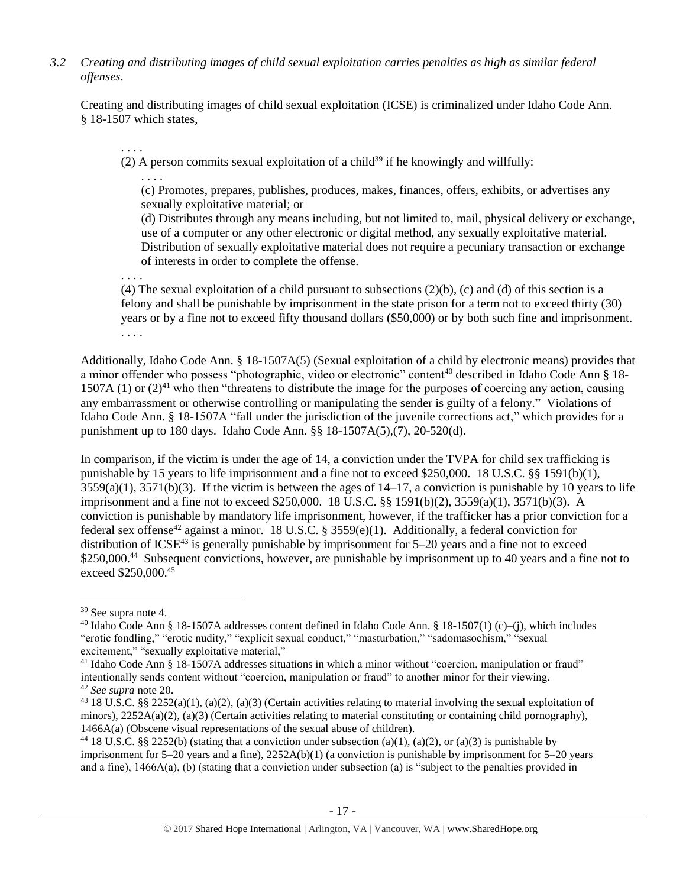*3.2 Creating and distributing images of child sexual exploitation carries penalties as high as similar federal offenses*.

Creating and distributing images of child sexual exploitation (ICSE) is criminalized under Idaho Code Ann. § 18-1507 which states,

(2) A person commits sexual exploitation of a child<sup>39</sup> if he knowingly and willfully:

. . . .

. . . .

(c) Promotes, prepares, publishes, produces, makes, finances, offers, exhibits, or advertises any sexually exploitative material; or

(d) Distributes through any means including, but not limited to, mail, physical delivery or exchange, use of a computer or any other electronic or digital method, any sexually exploitative material. Distribution of sexually exploitative material does not require a pecuniary transaction or exchange of interests in order to complete the offense.

. . . .

(4) The sexual exploitation of a child pursuant to subsections (2)(b), (c) and (d) of this section is a felony and shall be punishable by imprisonment in the state prison for a term not to exceed thirty (30) years or by a fine not to exceed fifty thousand dollars (\$50,000) or by both such fine and imprisonment. . . . .

Additionally, Idaho Code Ann. § 18-1507A(5) (Sexual exploitation of a child by electronic means) provides that a minor offender who possess "photographic, video or electronic" content<sup>40</sup> described in Idaho Code Ann § 18-1507A (1) or  $(2)^{41}$  who then "threatens to distribute the image for the purposes of coercing any action, causing any embarrassment or otherwise controlling or manipulating the sender is guilty of a felony." Violations of Idaho Code Ann. § 18-1507A "fall under the jurisdiction of the juvenile corrections act," which provides for a punishment up to 180 days. Idaho Code Ann. §§ 18-1507A(5),(7), 20-520(d).

In comparison, if the victim is under the age of 14, a conviction under the TVPA for child sex trafficking is punishable by 15 years to life imprisonment and a fine not to exceed \$250,000. 18 U.S.C. §§ 1591(b)(1),  $3559(a)(1)$ ,  $3571(b)(3)$ . If the victim is between the ages of  $14-17$ , a conviction is punishable by 10 years to life imprisonment and a fine not to exceed \$250,000. 18 U.S.C. §§ 1591(b)(2), 3559(a)(1), 3571(b)(3). A conviction is punishable by mandatory life imprisonment, however, if the trafficker has a prior conviction for a federal sex offense<sup>42</sup> against a minor. 18 U.S.C. § 3559 $(e)(1)$ . Additionally, a federal conviction for distribution of  $ICSE^{43}$  is generally punishable by imprisonment for 5–20 years and a fine not to exceed \$250,000.<sup>44</sup> Subsequent convictions, however, are punishable by imprisonment up to 40 years and a fine not to exceed \$250,000.<sup>45</sup>

 $\overline{a}$ 

<sup>39</sup> See supra note [4.](#page-1-0)

<sup>&</sup>lt;sup>40</sup> Idaho Code Ann § 18-1507A addresses content defined in Idaho Code Ann. § 18-1507(1) (c)–(j), which includes "erotic fondling," "erotic nudity," "explicit sexual conduct," "masturbation," "sadomasochism," "sexual excitement," "sexually exploitative material,"

<sup>41</sup> Idaho Code Ann § 18-1507A addresses situations in which a minor without "coercion, manipulation or fraud" intentionally sends content without "coercion, manipulation or fraud" to another minor for their viewing. <sup>42</sup> *See supra* note [20.](#page-8-1) 

<sup>&</sup>lt;sup>43</sup> 18 U.S.C. §§ 2252(a)(1), (a)(2), (a)(3) (Certain activities relating to material involving the sexual exploitation of minors),  $2252A(a)(2)$ , (a)(3) (Certain activities relating to material constituting or containing child pornography), 1466A(a) (Obscene visual representations of the sexual abuse of children).

<sup>&</sup>lt;sup>44</sup> 18 U.S.C. §§ 2252(b) (stating that a conviction under subsection (a)(1), (a)(2), or (a)(3) is punishable by imprisonment for  $5-20$  years and a fine),  $2252A(b)(1)$  (a conviction is punishable by imprisonment for  $5-20$  years and a fine), 1466A(a), (b) (stating that a conviction under subsection (a) is "subject to the penalties provided in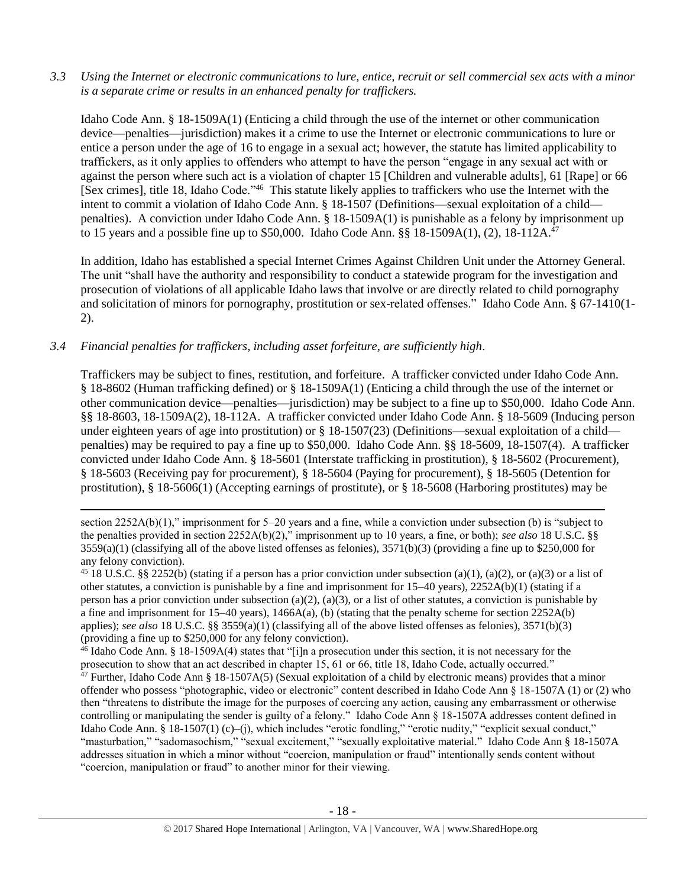*3.3 Using the Internet or electronic communications to lure, entice, recruit or sell commercial sex acts with a minor is a separate crime or results in an enhanced penalty for traffickers.*

Idaho Code Ann. § 18-1509A(1) (Enticing a child through the use of the internet or other communication device—penalties—jurisdiction) makes it a crime to use the Internet or electronic communications to lure or entice a person under the age of 16 to engage in a sexual act; however, the statute has limited applicability to traffickers, as it only applies to offenders who attempt to have the person "engage in any sexual act with or against the person where such act is a violation of chapter 15 [Children and vulnerable adults], 61 [Rape] or 66 [Sex crimes], [title 18,](http://www.legislature.idaho.gov/idstat/Title18/T18.htm) Idaho Code."<sup>46</sup> This statute likely applies to traffickers who use the Internet with the intent to commit a violation of Idaho Code Ann. § 18-1507 (Definitions—sexual exploitation of a child penalties). A conviction under Idaho Code Ann. § 18-1509A(1) is punishable as a felony by imprisonment up to 15 years and a possible fine up to \$50,000. Idaho Code Ann. §§ 18-1509A(1), (2), 18-112A.<sup>47</sup>

In addition, Idaho has established a special Internet Crimes Against Children Unit under the Attorney General. The unit "shall have the authority and responsibility to conduct a statewide program for the investigation and prosecution of violations of all applicable Idaho laws that involve or are directly related to child pornography and solicitation of minors for pornography, prostitution or sex-related offenses." Idaho Code Ann. § 67-1410(1- 2).

## *3.4 Financial penalties for traffickers, including asset forfeiture, are sufficiently high*.

l

Traffickers may be subject to fines, restitution, and forfeiture. A trafficker convicted under Idaho Code Ann. § 18-8602 (Human trafficking defined) or § 18-1509A(1) (Enticing a child through the use of the internet or other communication device—penalties—jurisdiction) may be subject to a fine up to \$50,000. Idaho Code Ann. §§ 18-8603, 18-1509A(2), 18-112A. A trafficker convicted under Idaho Code Ann. § 18-5609 (Inducing person under eighteen years of age into prostitution) or § 18-1507(23) (Definitions—sexual exploitation of a child penalties) may be required to pay a fine up to \$50,000. Idaho Code Ann. §§ 18-5609, 18-1507(4). A trafficker convicted under Idaho Code Ann. § 18-5601 (Interstate trafficking in prostitution), § 18-5602 (Procurement), § 18-5603 (Receiving pay for procurement), § 18-5604 (Paying for procurement), § 18-5605 (Detention for prostitution), § 18-5606(1) (Accepting earnings of prostitute), or § 18-5608 (Harboring prostitutes) may be

section 2252A(b)(1)," imprisonment for 5–20 years and a fine, while a conviction under subsection (b) is "subject to the penalties provided in section 2252A(b)(2)," imprisonment up to 10 years, a fine, or both); *see also* 18 U.S.C. §§  $3559(a)(1)$  (classifying all of the above listed offenses as felonies),  $3571(b)(3)$  (providing a fine up to \$250,000 for any felony conviction).

<sup>&</sup>lt;sup>45</sup> 18 U.S.C. §§ 2252(b) (stating if a person has a prior conviction under subsection (a)(1), (a)(2), or (a)(3) or a list of other statutes, a conviction is punishable by a fine and imprisonment for 15–40 years), 2252A(b)(1) (stating if a person has a prior conviction under subsection (a)(2), (a)(3), or a list of other statutes, a conviction is punishable by a fine and imprisonment for  $15-40$  years),  $1466A(a)$ , (b) (stating that the penalty scheme for section  $2252A(b)$ applies); *see also* 18 U.S.C. §§ 3559(a)(1) (classifying all of the above listed offenses as felonies), 3571(b)(3) (providing a fine up to \$250,000 for any felony conviction).

<sup>46</sup> Idaho Code Ann. § 18-1509A(4) states that "[i]n a prosecution under this section, it is not necessary for the prosecution to show that an act described in chapter 15, 61 or 66, title 18, Idaho Code, actually occurred."

<sup>&</sup>lt;sup>47</sup> Further, Idaho Code Ann § 18-1507A(5) (Sexual exploitation of a child by electronic means) provides that a minor offender who possess "photographic, video or electronic" content described in Idaho Code Ann § 18-1507A (1) or (2) who then "threatens to distribute the image for the purposes of coercing any action, causing any embarrassment or otherwise controlling or manipulating the sender is guilty of a felony." Idaho Code Ann § 18-1507A addresses content defined in Idaho Code Ann. § 18-1507(1) (c)–(j), which includes "erotic fondling," "erotic nudity," "explicit sexual conduct," "masturbation," "sadomasochism," "sexual excitement," "sexually exploitative material." Idaho Code Ann § 18-1507A addresses situation in which a minor without "coercion, manipulation or fraud" intentionally sends content without "coercion, manipulation or fraud" to another minor for their viewing.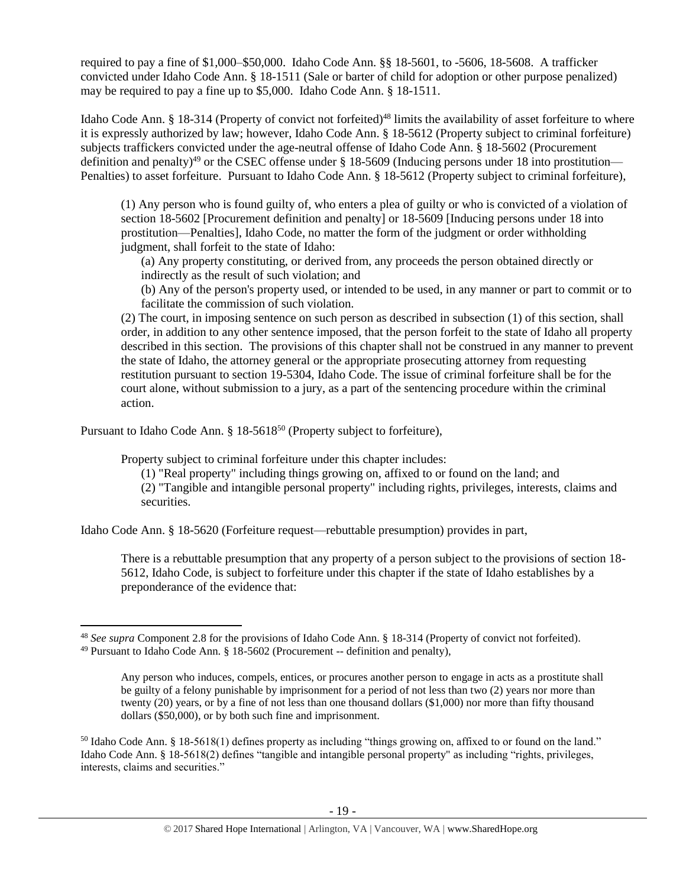required to pay a fine of \$1,000–\$50,000. Idaho Code Ann. §§ 18-5601, to -5606, 18-5608. A trafficker convicted under Idaho Code Ann. § 18-1511 (Sale or barter of child for adoption or other purpose penalized) may be required to pay a fine up to \$5,000. Idaho Code Ann. § 18-1511.

Idaho Code Ann. § 18-314 (Property of convict not forfeited)<sup>48</sup> limits the availability of asset forfeiture to where it is expressly authorized by law; however, Idaho Code Ann. § 18-5612 (Property subject to criminal forfeiture) subjects traffickers convicted under the age-neutral offense of Idaho Code Ann. § 18-5602 (Procurement definition and penalty)<sup>49</sup> or the CSEC offense under  $\S$  18-5609 (Inducing persons under 18 into prostitution— Penalties) to asset forfeiture. Pursuant to Idaho Code Ann. § 18-5612 (Property subject to criminal forfeiture),

(1) Any person who is found guilty of, who enters a plea of guilty or who is convicted of a violation of section 18-5602 [Procurement definition and penalty] or 18-5609 [Inducing persons under 18 into prostitution—Penalties], Idaho Code, no matter the form of the judgment or order withholding judgment, shall forfeit to the state of Idaho:

(a) Any property constituting, or derived from, any proceeds the person obtained directly or indirectly as the result of such violation; and

(b) Any of the person's property used, or intended to be used, in any manner or part to commit or to facilitate the commission of such violation.

(2) The court, in imposing sentence on such person as described in subsection (1) of this section, shall order, in addition to any other sentence imposed, that the person forfeit to the state of Idaho all property described in this section. The provisions of this chapter shall not be construed in any manner to prevent the state of Idaho, the attorney general or the appropriate prosecuting attorney from requesting restitution pursuant to section 19-5304, Idaho Code. The issue of criminal forfeiture shall be for the court alone, without submission to a jury, as a part of the sentencing procedure within the criminal action.

Pursuant to Idaho Code Ann. § 18-5618<sup>50</sup> (Property subject to forfeiture),

 $\overline{\phantom{a}}$ 

Property subject to criminal forfeiture under this chapter includes:

(1) "Real property" including things growing on, affixed to or found on the land; and

(2) "Tangible and intangible personal property" including rights, privileges, interests, claims and securities.

Idaho Code Ann. § 18-5620 (Forfeiture request—rebuttable presumption) provides in part,

There is a rebuttable presumption that any property of a person subject to the provisions of section 18- 5612, Idaho Code, is subject to forfeiture under this chapter if the state of Idaho establishes by a preponderance of the evidence that:

<sup>48</sup> *See supra* Component 2.8 for the provisions of Idaho Code Ann. § 18-314 (Property of convict not forfeited).  $49$  Pursuant to Idaho Code Ann. § 18-5602 (Procurement -- definition and penalty),

Any person who induces, compels, entices, or procures another person to engage in acts as a prostitute shall be guilty of a felony punishable by imprisonment for a period of not less than two (2) years nor more than twenty (20) years, or by a fine of not less than one thousand dollars (\$1,000) nor more than fifty thousand dollars (\$50,000), or by both such fine and imprisonment.

<sup>50</sup> Idaho Code Ann. § 18-5618(1) defines property as including "things growing on, affixed to or found on the land." Idaho Code Ann. § 18-5618(2) defines "tangible and intangible personal property" as including "rights, privileges, interests, claims and securities."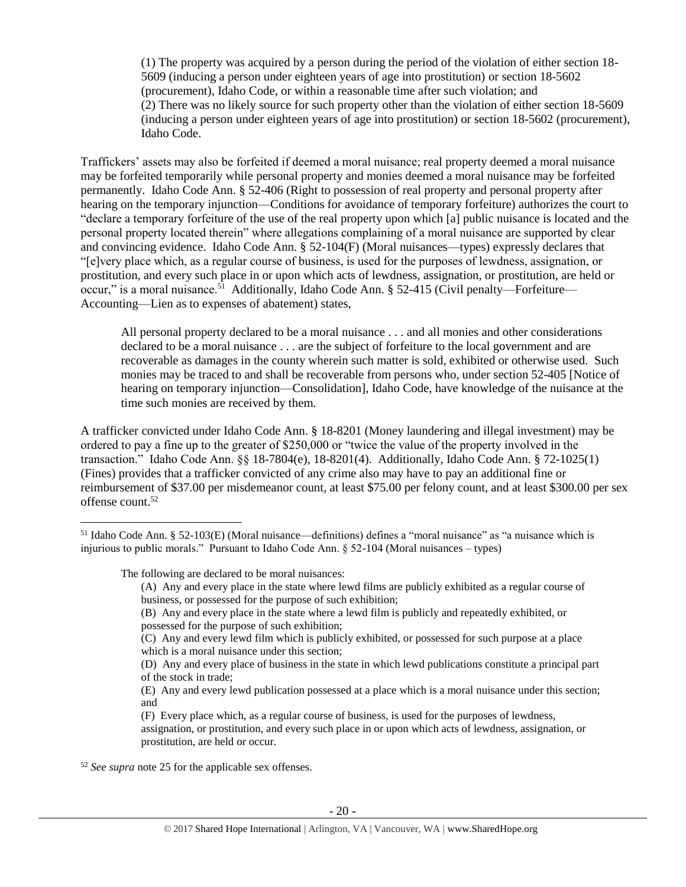(1) The property was acquired by a person during the period of the violation of either section 18- 5609 (inducing a person under eighteen years of age into prostitution) or section 18-5602 (procurement), Idaho Code, or within a reasonable time after such violation; and (2) There was no likely source for such property other than the violation of either section 18-5609 (inducing a person under eighteen years of age into prostitution) or section 18-5602 (procurement), Idaho Code.

Traffickers' assets may also be forfeited if deemed a moral nuisance; real property deemed a moral nuisance may be forfeited temporarily while personal property and monies deemed a moral nuisance may be forfeited permanently. Idaho Code Ann. § 52-406 (Right to possession of real property and personal property after hearing on the temporary injunction—Conditions for avoidance of temporary forfeiture) authorizes the court to "declare a temporary forfeiture of the use of the real property upon which [a] public nuisance is located and the personal property located therein" where allegations complaining of a moral nuisance are supported by clear and convincing evidence. Idaho Code Ann. § 52-104(F) (Moral nuisances—types) expressly declares that "[e]very place which, as a regular course of business, is used for the purposes of lewdness, assignation, or prostitution, and every such place in or upon which acts of lewdness, assignation, or prostitution, are held or occur," is a moral nuisance.<sup>51</sup> Additionally, Idaho Code Ann. § 52-415 (Civil penalty—Forfeiture— Accounting—Lien as to expenses of abatement) states,

<span id="page-19-0"></span>All personal property declared to be a moral nuisance . . . and all monies and other considerations declared to be a moral nuisance . . . are the subject of forfeiture to the local government and are recoverable as damages in the county wherein such matter is sold, exhibited or otherwise used. Such monies may be traced to and shall be recoverable from persons who, under section 52-405 [Notice of hearing on temporary injunction—Consolidation], Idaho Code, have knowledge of the nuisance at the time such monies are received by them.

A trafficker convicted under Idaho Code Ann. § 18-8201 (Money laundering and illegal investment) may be ordered to pay a fine up to the greater of \$250,000 or "twice the value of the property involved in the transaction." Idaho Code Ann. §§ 18-7804(e), 18-8201(4). Additionally, Idaho Code Ann. § 72-1025(1) (Fines) provides that a trafficker convicted of any crime also may have to pay an additional fine or reimbursement of \$37.00 per misdemeanor count, at least \$75.00 per felony count, and at least \$300.00 per sex offense count.<sup>52</sup>

The following are declared to be moral nuisances:

 $\overline{a}$ 

(B) Any and every place in the state where a lewd film is publicly and repeatedly exhibited, or possessed for the purpose of such exhibition;

<sup>52</sup> *See supra* note [25](#page-10-0) for the applicable sex offenses.

<sup>51</sup> Idaho Code Ann. § 52-103(E) (Moral nuisance—definitions) defines a "moral nuisance" as "a nuisance which is injurious to public morals." Pursuant to Idaho Code Ann. § 52-104 (Moral nuisances – types)

<sup>(</sup>A) Any and every place in the state where lewd films are publicly exhibited as a regular course of business, or possessed for the purpose of such exhibition;

<sup>(</sup>C) Any and every lewd film which is publicly exhibited, or possessed for such purpose at a place which is a moral nuisance under this section;

<sup>(</sup>D) Any and every place of business in the state in which lewd publications constitute a principal part of the stock in trade;

<sup>(</sup>E) Any and every lewd publication possessed at a place which is a moral nuisance under this section; and

<sup>(</sup>F) Every place which, as a regular course of business, is used for the purposes of lewdness, assignation, or prostitution, and every such place in or upon which acts of lewdness, assignation, or prostitution, are held or occur.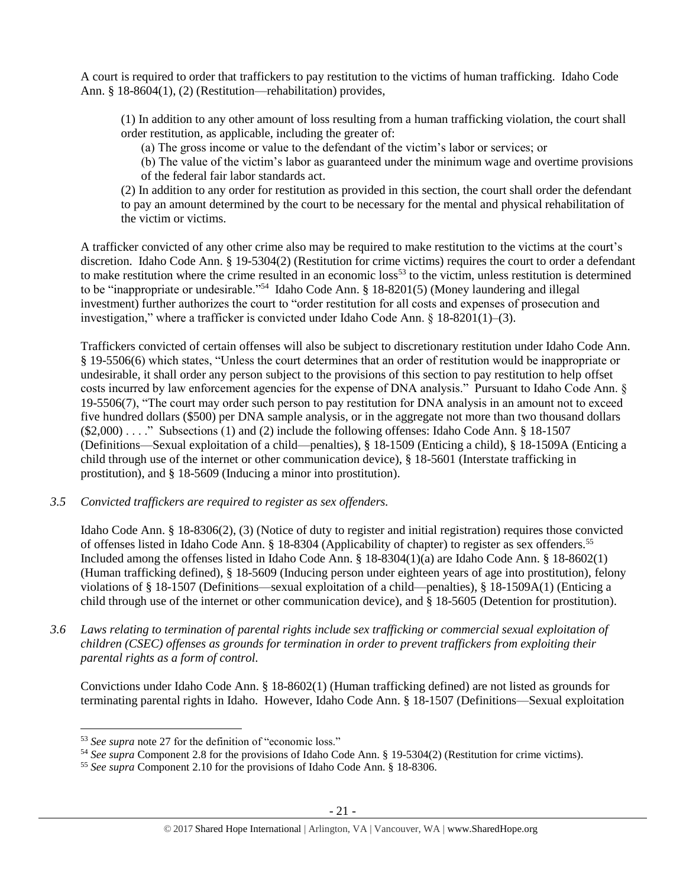A court is required to order that traffickers to pay restitution to the victims of human trafficking. Idaho Code Ann. § 18-8604(1), (2) (Restitution—rehabilitation) provides,

(1) In addition to any other amount of loss resulting from a human trafficking violation, the court shall order restitution, as applicable, including the greater of:

(a) The gross income or value to the defendant of the victim's labor or services; or

(b) The value of the victim's labor as guaranteed under the minimum wage and overtime provisions of the federal fair labor standards act.

(2) In addition to any order for restitution as provided in this section, the court shall order the defendant to pay an amount determined by the court to be necessary for the mental and physical rehabilitation of the victim or victims.

A trafficker convicted of any other crime also may be required to make restitution to the victims at the court's discretion. Idaho Code Ann. § 19-5304(2) (Restitution for crime victims) requires the court to order a defendant to make restitution where the crime resulted in an economic  $loss^{53}$  to the victim, unless restitution is determined to be "inappropriate or undesirable."<sup>54</sup> Idaho Code Ann. § 18-8201(5) (Money laundering and illegal investment) further authorizes the court to "order restitution for all costs and expenses of prosecution and investigation," where a trafficker is convicted under Idaho Code Ann.  $\S$  18-8201(1)–(3).

Traffickers convicted of certain offenses will also be subject to discretionary restitution under Idaho Code Ann. § 19-5506(6) which states, "Unless the court determines that an order of restitution would be inappropriate or undesirable, it shall order any person subject to the provisions of this section to pay restitution to help offset costs incurred by law enforcement agencies for the expense of DNA analysis." Pursuant to Idaho Code Ann. § 19-5506(7), "The court may order such person to pay restitution for DNA analysis in an amount not to exceed five hundred dollars (\$500) per DNA sample analysis, or in the aggregate not more than two thousand dollars (\$2,000) . . . ." Subsections (1) and (2) include the following offenses: Idaho Code Ann. § 18-1507 (Definitions—Sexual exploitation of a child—penalties), § 18-1509 (Enticing a child), § 18-1509A (Enticing a child through use of the internet or other communication device), § 18-5601 (Interstate trafficking in prostitution), and § 18-5609 (Inducing a minor into prostitution).

*3.5 Convicted traffickers are required to register as sex offenders.*

Idaho Code Ann. § 18-8306(2), (3) (Notice of duty to register and initial registration) requires those convicted of offenses listed in Idaho Code Ann. § 18-8304 (Applicability of chapter) to register as sex offenders.<sup>55</sup> Included among the offenses listed in Idaho Code Ann. § 18-8304(1)(a) are Idaho Code Ann. § 18-8602(1) (Human trafficking defined), § 18-5609 (Inducing person under eighteen years of age into prostitution), felony violations of § 18-1507 (Definitions—sexual exploitation of a child—penalties), § 18-1509A(1) (Enticing a child through use of the internet or other communication device), and § 18-5605 (Detention for prostitution).

*3.6 Laws relating to termination of parental rights include sex trafficking or commercial sexual exploitation of children (CSEC) offenses as grounds for termination in order to prevent traffickers from exploiting their parental rights as a form of control.* 

Convictions under Idaho Code Ann. § 18-8602(1) (Human trafficking defined) are not listed as grounds for terminating parental rights in Idaho. However, Idaho Code Ann. § 18-1507 (Definitions—Sexual exploitation

<sup>53</sup> *See supra* note [27](#page-11-0) for the definition of "economic loss."

<sup>54</sup> *See supra* Component 2.8 for the provisions of Idaho Code Ann. § 19-5304(2) (Restitution for crime victims).

<sup>55</sup> *See supra* Component 2.10 for the provisions of Idaho Code Ann. § 18-8306.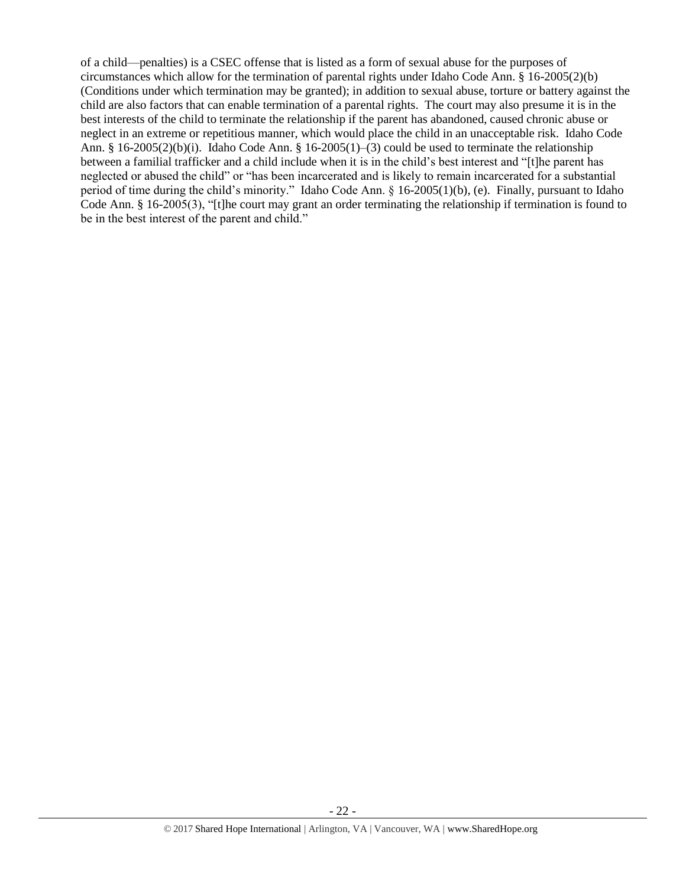of a child—penalties) is a CSEC offense that is listed as a form of sexual abuse for the purposes of circumstances which allow for the termination of parental rights under Idaho Code Ann. § 16-2005(2)(b) (Conditions under which termination may be granted); in addition to sexual abuse, torture or battery against the child are also factors that can enable termination of a parental rights. The court may also presume it is in the best interests of the child to terminate the relationship if the parent has abandoned, caused chronic abuse or neglect in an extreme or repetitious manner, which would place the child in an unacceptable risk. Idaho Code Ann. § 16-2005(2)(b)(i). Idaho Code Ann. § 16-2005(1)–(3) could be used to terminate the relationship between a familial trafficker and a child include when it is in the child's best interest and "[t]he parent has neglected or abused the child" or "has been incarcerated and is likely to remain incarcerated for a substantial period of time during the child's minority." Idaho Code Ann. § 16-2005(1)(b), (e). Finally, pursuant to Idaho Code Ann. § 16-2005(3), "[t]he court may grant an order terminating the relationship if termination is found to be in the best interest of the parent and child."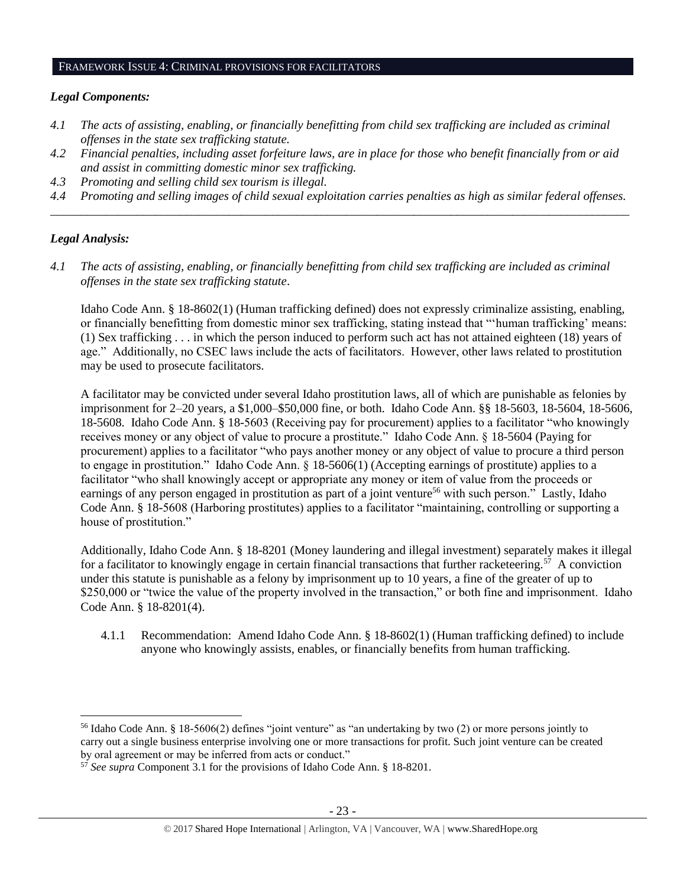#### FRAMEWORK ISSUE 4: CRIMINAL PROVISIONS FOR FACILITATORS

#### *Legal Components:*

- *4.1 The acts of assisting, enabling, or financially benefitting from child sex trafficking are included as criminal offenses in the state sex trafficking statute.*
- *4.2 Financial penalties, including asset forfeiture laws, are in place for those who benefit financially from or aid and assist in committing domestic minor sex trafficking.*
- *4.3 Promoting and selling child sex tourism is illegal.*
- *4.4 Promoting and selling images of child sexual exploitation carries penalties as high as similar federal offenses. \_\_\_\_\_\_\_\_\_\_\_\_\_\_\_\_\_\_\_\_\_\_\_\_\_\_\_\_\_\_\_\_\_\_\_\_\_\_\_\_\_\_\_\_\_\_\_\_\_\_\_\_\_\_\_\_\_\_\_\_\_\_\_\_\_\_\_\_\_\_\_\_\_\_\_\_\_\_\_\_\_\_\_\_\_\_\_\_\_\_\_\_\_\_*

#### *Legal Analysis:*

 $\overline{a}$ 

*4.1 The acts of assisting, enabling, or financially benefitting from child sex trafficking are included as criminal offenses in the state sex trafficking statute*.

Idaho Code Ann. § 18-8602(1) (Human trafficking defined) does not expressly criminalize assisting, enabling, or financially benefitting from domestic minor sex trafficking, stating instead that "'human trafficking' means: (1) Sex trafficking . . . in which the person induced to perform such act has not attained eighteen (18) years of age." Additionally, no CSEC laws include the acts of facilitators. However, other laws related to prostitution may be used to prosecute facilitators.

A facilitator may be convicted under several Idaho prostitution laws, all of which are punishable as felonies by imprisonment for 2–20 years, a \$1,000–\$50,000 fine, or both. Idaho Code Ann. §§ 18-5603, 18-5604, 18-5606, 18-5608. Idaho Code Ann. § 18-5603 (Receiving pay for procurement) applies to a facilitator "who knowingly receives money or any object of value to procure a prostitute." Idaho Code Ann. § 18-5604 (Paying for procurement) applies to a facilitator "who pays another money or any object of value to procure a third person to engage in prostitution." Idaho Code Ann. § 18-5606(1) (Accepting earnings of prostitute) applies to a facilitator "who shall knowingly accept or appropriate any money or item of value from the proceeds or earnings of any person engaged in prostitution as part of a joint venture<sup>56</sup> with such person." Lastly, Idaho Code Ann. § 18-5608 (Harboring prostitutes) applies to a facilitator "maintaining, controlling or supporting a house of prostitution."

Additionally, Idaho Code Ann. § 18-8201 (Money laundering and illegal investment) separately makes it illegal for a facilitator to knowingly engage in certain financial transactions that further racketeering.<sup>57</sup> A conviction under this statute is punishable as a felony by imprisonment up to 10 years, a fine of the greater of up to \$250,000 or "twice the value of the property involved in the transaction," or both fine and imprisonment. Idaho Code Ann. § 18-8201(4).

4.1.1 Recommendation: Amend Idaho Code Ann. § 18-8602(1) (Human trafficking defined) to include anyone who knowingly assists, enables, or financially benefits from human trafficking.

<sup>56</sup> Idaho Code Ann. § 18-5606(2) defines "joint venture" as "an undertaking by two (2) or more persons jointly to carry out a single business enterprise involving one or more transactions for profit. Such joint venture can be created by oral agreement or may be inferred from acts or conduct."

<sup>57</sup> *See supra* Component 3.1 for the provisions of Idaho Code Ann. § 18-8201.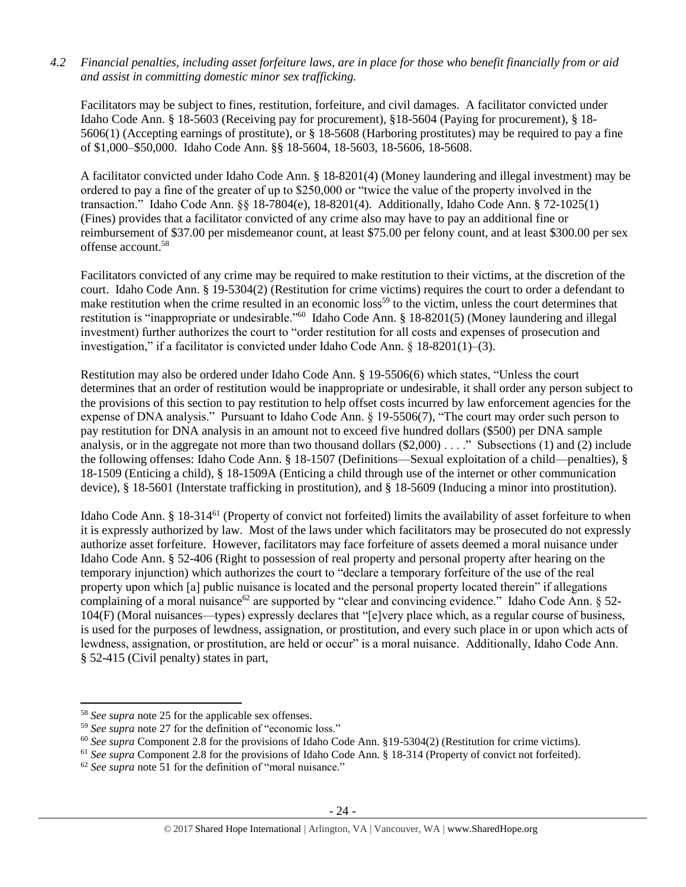## *4.2 Financial penalties, including asset forfeiture laws, are in place for those who benefit financially from or aid and assist in committing domestic minor sex trafficking.*

Facilitators may be subject to fines, restitution, forfeiture, and civil damages. A facilitator convicted under Idaho Code Ann. § 18-5603 (Receiving pay for procurement), §18-5604 (Paying for procurement), § 18- 5606(1) (Accepting earnings of prostitute), or § 18-5608 (Harboring prostitutes) may be required to pay a fine of \$1,000–\$50,000. Idaho Code Ann. §§ 18-5604, 18-5603, 18-5606, 18-5608.

A facilitator convicted under Idaho Code Ann. § 18-8201(4) (Money laundering and illegal investment) may be ordered to pay a fine of the greater of up to \$250,000 or "twice the value of the property involved in the transaction." Idaho Code Ann. §§ 18-7804(e), 18-8201(4). Additionally, Idaho Code Ann. § 72-1025(1) (Fines) provides that a facilitator convicted of any crime also may have to pay an additional fine or reimbursement of \$37.00 per misdemeanor count, at least \$75.00 per felony count, and at least \$300.00 per sex offense account.<sup>58</sup>

Facilitators convicted of any crime may be required to make restitution to their victims, at the discretion of the court. Idaho Code Ann. § 19-5304(2) (Restitution for crime victims) requires the court to order a defendant to make restitution when the crime resulted in an economic loss<sup>59</sup> to the victim, unless the court determines that restitution is "inappropriate or undesirable."<sup>60</sup> Idaho Code Ann. § 18-8201(5) (Money laundering and illegal investment) further authorizes the court to "order restitution for all costs and expenses of prosecution and investigation," if a facilitator is convicted under Idaho Code Ann. § 18-8201(1)–(3).

Restitution may also be ordered under Idaho Code Ann. § 19-5506(6) which states, "Unless the court determines that an order of restitution would be inappropriate or undesirable, it shall order any person subject to the provisions of this section to pay restitution to help offset costs incurred by law enforcement agencies for the expense of DNA analysis." Pursuant to Idaho Code Ann. § 19-5506(7), "The court may order such person to pay restitution for DNA analysis in an amount not to exceed five hundred dollars (\$500) per DNA sample analysis, or in the aggregate not more than two thousand dollars  $(\$2,000)$ ...." Subsections (1) and (2) include the following offenses: Idaho Code Ann. § 18-1507 (Definitions—Sexual exploitation of a child—penalties), § 18-1509 (Enticing a child), § 18-1509A (Enticing a child through use of the internet or other communication device), § 18-5601 (Interstate trafficking in prostitution), and § 18-5609 (Inducing a minor into prostitution).

Idaho Code Ann. § 18-314<sup>61</sup> (Property of convict not forfeited) limits the availability of asset forfeiture to when it is expressly authorized by law. Most of the laws under which facilitators may be prosecuted do not expressly authorize asset forfeiture. However, facilitators may face forfeiture of assets deemed a moral nuisance under Idaho Code Ann. § 52-406 (Right to possession of real property and personal property after hearing on the temporary injunction) which authorizes the court to "declare a temporary forfeiture of the use of the real property upon which [a] public nuisance is located and the personal property located therein" if allegations complaining of a moral nuisance<sup>62</sup> are supported by "clear and convincing evidence." Idaho Code Ann.  $\S$  52-104(F) (Moral nuisances—types) expressly declares that "[e]very place which, as a regular course of business, is used for the purposes of lewdness, assignation, or prostitution, and every such place in or upon which acts of lewdness, assignation, or prostitution, are held or occur" is a moral nuisance. Additionally, Idaho Code Ann. § 52-415 (Civil penalty) states in part,

<sup>58</sup> *See supra* note [25](#page-10-0) for the applicable sex offenses.

<sup>&</sup>lt;sup>59</sup> See supra note [27](#page-11-0) for the definition of "economic loss."

<sup>60</sup> *See supra* Component 2.8 for the provisions of Idaho Code Ann. §19-5304(2) (Restitution for crime victims).

<sup>&</sup>lt;sup>61</sup> See supra Component 2.8 for the provisions of Idaho Code Ann. § 18-314 (Property of convict not forfeited).

<sup>&</sup>lt;sup>62</sup> See supra note [51](#page-19-0) for the definition of "moral nuisance."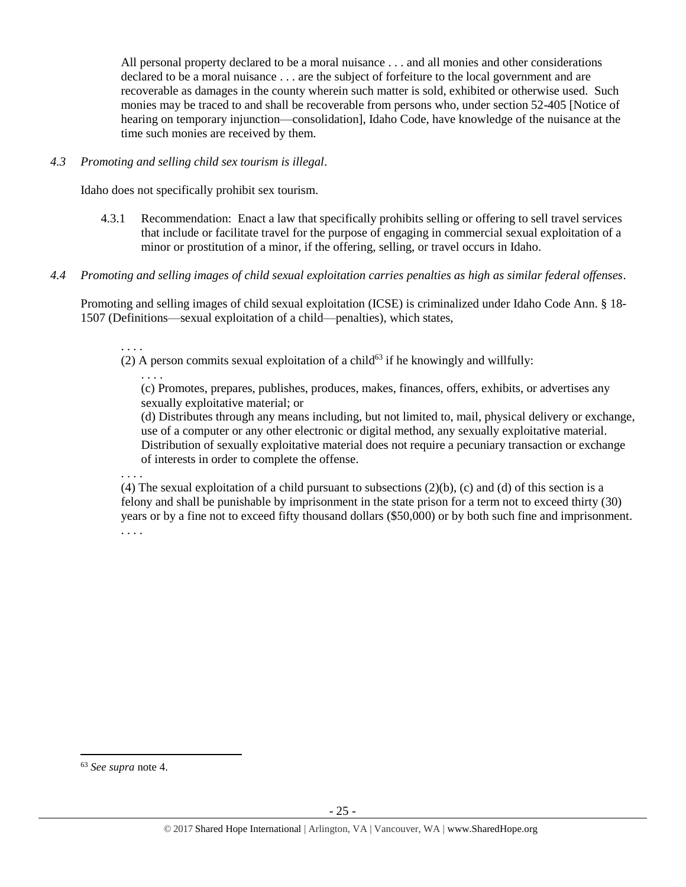All personal property declared to be a moral nuisance . . . and all monies and other considerations declared to be a moral nuisance . . . are the subject of forfeiture to the local government and are recoverable as damages in the county wherein such matter is sold, exhibited or otherwise used. Such monies may be traced to and shall be recoverable from persons who, under section 52-405 [Notice of hearing on temporary injunction—consolidation], Idaho Code, have knowledge of the nuisance at the time such monies are received by them.

## *4.3 Promoting and selling child sex tourism is illegal*.

Idaho does not specifically prohibit sex tourism.

- 4.3.1 Recommendation: Enact a law that specifically prohibits selling or offering to sell travel services that include or facilitate travel for the purpose of engaging in commercial sexual exploitation of a minor or prostitution of a minor, if the offering, selling, or travel occurs in Idaho.
- *4.4 Promoting and selling images of child sexual exploitation carries penalties as high as similar federal offenses*.

Promoting and selling images of child sexual exploitation (ICSE) is criminalized under Idaho Code Ann. § 18- 1507 (Definitions—sexual exploitation of a child—penalties), which states,

. . . .

(2) A person commits sexual exploitation of a child<sup>63</sup> if he knowingly and willfully:

. . . . (c) Promotes, prepares, publishes, produces, makes, finances, offers, exhibits, or advertises any sexually exploitative material; or

(d) Distributes through any means including, but not limited to, mail, physical delivery or exchange, use of a computer or any other electronic or digital method, any sexually exploitative material. Distribution of sexually exploitative material does not require a pecuniary transaction or exchange of interests in order to complete the offense.

. . . .

(4) The sexual exploitation of a child pursuant to subsections  $(2)(b)$ , (c) and (d) of this section is a felony and shall be punishable by imprisonment in the state prison for a term not to exceed thirty (30) years or by a fine not to exceed fifty thousand dollars (\$50,000) or by both such fine and imprisonment. . . . .

<sup>63</sup> *See supra* note [4.](#page-1-0)

 $\overline{a}$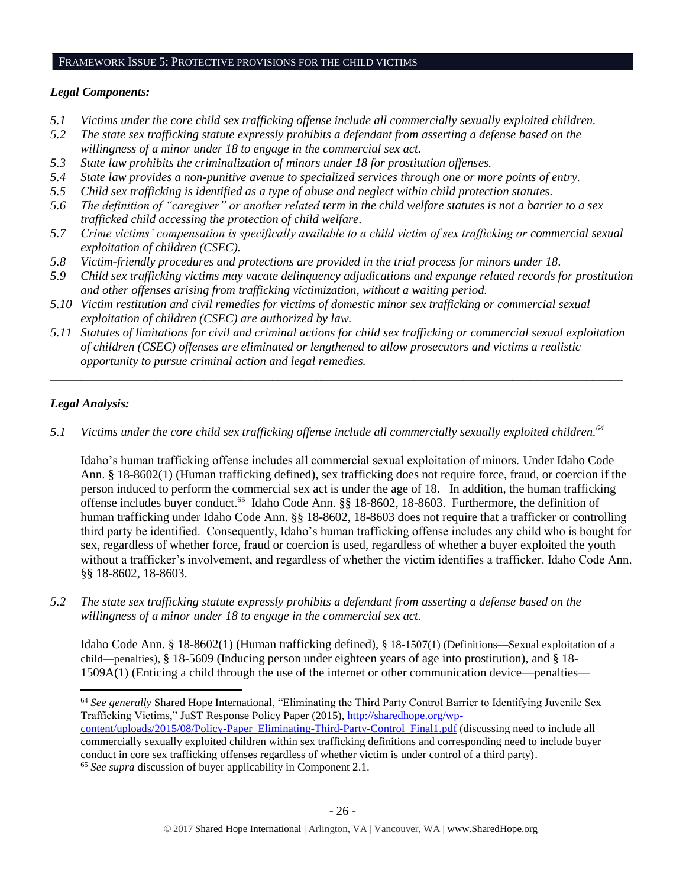#### FRAMEWORK ISSUE 5: PROTECTIVE PROVISIONS FOR THE CHILD VICTIMS

## *Legal Components:*

- *5.1 Victims under the core child sex trafficking offense include all commercially sexually exploited children.*
- *5.2 The state sex trafficking statute expressly prohibits a defendant from asserting a defense based on the willingness of a minor under 18 to engage in the commercial sex act.*
- *5.3 State law prohibits the criminalization of minors under 18 for prostitution offenses.*
- *5.4 State law provides a non-punitive avenue to specialized services through one or more points of entry.*
- *5.5 Child sex trafficking is identified as a type of abuse and neglect within child protection statutes.*
- *5.6 The definition of "caregiver" or another related term in the child welfare statutes is not a barrier to a sex trafficked child accessing the protection of child welfare.*
- *5.7 Crime victims' compensation is specifically available to a child victim of sex trafficking or commercial sexual exploitation of children (CSEC).*
- *5.8 Victim-friendly procedures and protections are provided in the trial process for minors under 18.*
- *5.9 Child sex trafficking victims may vacate delinquency adjudications and expunge related records for prostitution and other offenses arising from trafficking victimization, without a waiting period.*
- *5.10 Victim restitution and civil remedies for victims of domestic minor sex trafficking or commercial sexual exploitation of children (CSEC) are authorized by law.*
- *5.11 Statutes of limitations for civil and criminal actions for child sex trafficking or commercial sexual exploitation of children (CSEC) offenses are eliminated or lengthened to allow prosecutors and victims a realistic opportunity to pursue criminal action and legal remedies.*

*\_\_\_\_\_\_\_\_\_\_\_\_\_\_\_\_\_\_\_\_\_\_\_\_\_\_\_\_\_\_\_\_\_\_\_\_\_\_\_\_\_\_\_\_\_\_\_\_\_\_\_\_\_\_\_\_\_\_\_\_\_\_\_\_\_\_\_\_\_\_\_\_\_\_\_\_\_\_\_\_\_\_\_\_\_\_\_\_\_\_\_\_\_*

# *Legal Analysis:*

*5.1 Victims under the core child sex trafficking offense include all commercially sexually exploited children.<sup>64</sup>*

Idaho's human trafficking offense includes all commercial sexual exploitation of minors. Under Idaho Code Ann. § 18-8602(1) (Human trafficking defined), sex trafficking does not require force, fraud, or coercion if the person induced to perform the commercial sex act is under the age of 18. In addition, the human trafficking offense includes buyer conduct.<sup>65</sup> Idaho Code Ann. §§ 18-8602, 18-8603. Furthermore, the definition of human trafficking under Idaho Code Ann. §§ 18-8602, 18-8603 does not require that a trafficker or controlling third party be identified. Consequently, Idaho's human trafficking offense includes any child who is bought for sex, regardless of whether force, fraud or coercion is used, regardless of whether a buyer exploited the youth without a trafficker's involvement, and regardless of whether the victim identifies a trafficker. Idaho Code Ann. §§ 18-8602, 18-8603.

*5.2 The state sex trafficking statute expressly prohibits a defendant from asserting a defense based on the willingness of a minor under 18 to engage in the commercial sex act.* 

Idaho Code Ann. § 18-8602(1) (Human trafficking defined), § 18-1507(1) (Definitions—Sexual exploitation of a child—penalties), § 18-5609 (Inducing person under eighteen years of age into prostitution), and § 18- 1509A(1) (Enticing a child through the use of the internet or other communication device—penalties—

 $\overline{\phantom{a}}$ <sup>64</sup> *See generally* Shared Hope International, "Eliminating the Third Party Control Barrier to Identifying Juvenile Sex Trafficking Victims," JuST Response Policy Paper (2015), [http://sharedhope.org/wp](http://sharedhope.org/wp-content/uploads/2015/08/Policy-Paper_Eliminating-Third-Party-Control_Final1.pdf)[content/uploads/2015/08/Policy-Paper\\_Eliminating-Third-Party-Control\\_Final1.pdf](http://sharedhope.org/wp-content/uploads/2015/08/Policy-Paper_Eliminating-Third-Party-Control_Final1.pdf) (discussing need to include all commercially sexually exploited children within sex trafficking definitions and corresponding need to include buyer

conduct in core sex trafficking offenses regardless of whether victim is under control of a third party). <sup>65</sup> *See supra* discussion of buyer applicability in Component 2.1.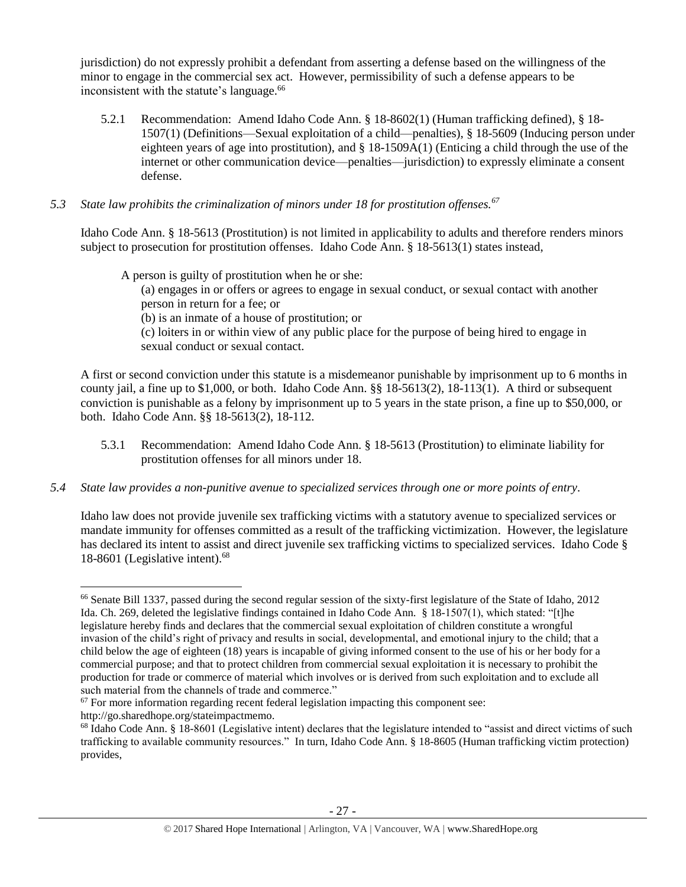jurisdiction) do not expressly prohibit a defendant from asserting a defense based on the willingness of the minor to engage in the commercial sex act. However, permissibility of such a defense appears to be inconsistent with the statute's language.<sup>66</sup>

5.2.1 Recommendation: Amend Idaho Code Ann. § 18-8602(1) (Human trafficking defined), § 18- 1507(1) (Definitions—Sexual exploitation of a child—penalties), § 18-5609 (Inducing person under eighteen years of age into prostitution), and § 18-1509A(1) (Enticing a child through the use of the internet or other communication device—penalties—jurisdiction) to expressly eliminate a consent defense.

# *5.3 State law prohibits the criminalization of minors under 18 for prostitution offenses.<sup>67</sup>*

Idaho Code Ann. § 18-5613 (Prostitution) is not limited in applicability to adults and therefore renders minors subject to prosecution for prostitution offenses. Idaho Code Ann. § 18-5613(1) states instead,

A person is guilty of prostitution when he or she:

(a) engages in or offers or agrees to engage in sexual conduct, or sexual contact with another person in return for a fee; or

(b) is an inmate of a house of prostitution; or

(c) loiters in or within view of any public place for the purpose of being hired to engage in sexual conduct or sexual contact.

A first or second conviction under this statute is a misdemeanor punishable by imprisonment up to 6 months in county jail, a fine up to \$1,000, or both. Idaho Code Ann. §§ 18-5613(2), 18-113(1). A third or subsequent conviction is punishable as a felony by imprisonment up to 5 years in the state prison, a fine up to \$50,000, or both. Idaho Code Ann. §§ 18-5613(2), 18-112.

- 5.3.1 Recommendation: Amend Idaho Code Ann. § 18-5613 (Prostitution) to eliminate liability for prostitution offenses for all minors under 18.
- *5.4 State law provides a non-punitive avenue to specialized services through one or more points of entry.*

Idaho law does not provide juvenile sex trafficking victims with a statutory avenue to specialized services or mandate immunity for offenses committed as a result of the trafficking victimization. However, the legislature has declared its intent to assist and direct juvenile sex trafficking victims to specialized services. Idaho Code § 18-8601 (Legislative intent).<sup>68</sup>

l <sup>66</sup> Senate Bill 1337, passed during the second regular session of the sixty-first legislature of the State of Idaho, 2012 Ida. Ch. 269, deleted the legislative findings contained in Idaho Code Ann. § 18-1507(1), which stated: "[t]he legislature hereby finds and declares that the commercial sexual exploitation of children constitute a wrongful invasion of the child's right of privacy and results in social, developmental, and emotional injury to the child; that a child below the age of eighteen (18) years is incapable of giving informed consent to the use of his or her body for a commercial purpose; and that to protect children from commercial sexual exploitation it is necessary to prohibit the production for trade or commerce of material which involves or is derived from such exploitation and to exclude all such material from the channels of trade and commerce."

 $67$  For more information regarding recent federal legislation impacting this component see: http://go.sharedhope.org/stateimpactmemo.

<sup>&</sup>lt;sup>68</sup> Idaho Code Ann. § 18-8601 (Legislative intent) declares that the legislature intended to "assist and direct victims of such trafficking to available community resources." In turn, Idaho Code Ann. § 18-8605 (Human trafficking victim protection) provides,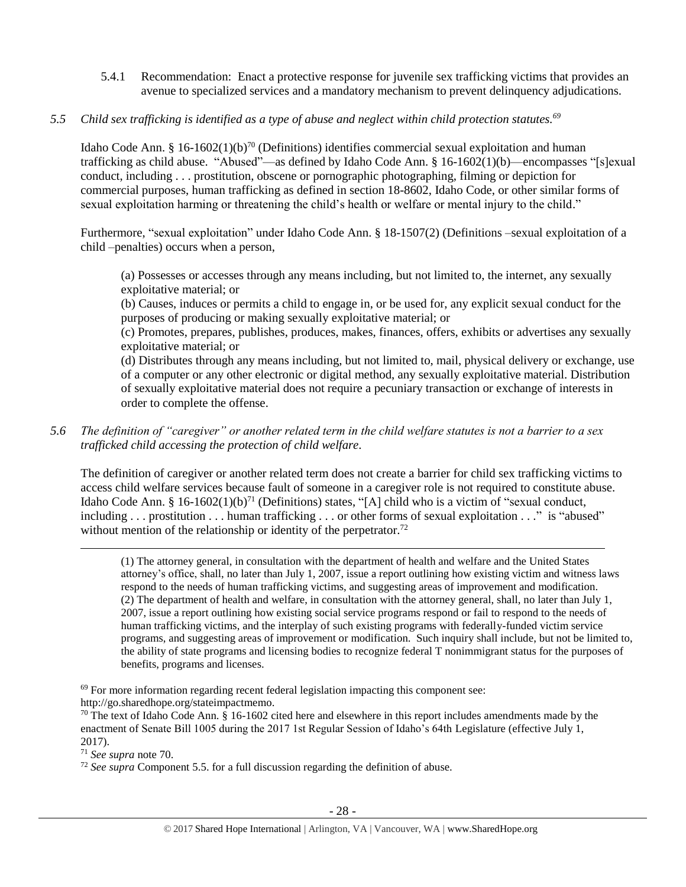- <span id="page-27-0"></span>5.4.1 Recommendation: Enact a protective response for juvenile sex trafficking victims that provides an avenue to specialized services and a mandatory mechanism to prevent delinquency adjudications.
- *5.5 Child sex trafficking is identified as a type of abuse and neglect within child protection statutes.<sup>69</sup>*

Idaho Code Ann. § 16-1602(1)(b)<sup>70</sup> (Definitions) identifies commercial sexual exploitation and human trafficking as child abuse. "Abused"—as defined by Idaho Code Ann. § 16-1602(1)(b)—encompasses "[s]exual conduct, including . . . prostitution, obscene or pornographic photographing, filming or depiction for commercial purposes, human trafficking as defined in section 18-8602, Idaho Code, or other similar forms of sexual exploitation harming or threatening the child's health or welfare or mental injury to the child."

Furthermore, "sexual exploitation" under Idaho Code Ann. § 18-1507(2) (Definitions –sexual exploitation of a child –penalties) occurs when a person,

(a) Possesses or accesses through any means including, but not limited to, the internet, any sexually exploitative material; or

(b) Causes, induces or permits a child to engage in, or be used for, any explicit sexual conduct for the purposes of producing or making sexually exploitative material; or

(c) Promotes, prepares, publishes, produces, makes, finances, offers, exhibits or advertises any sexually exploitative material; or

(d) Distributes through any means including, but not limited to, mail, physical delivery or exchange, use of a computer or any other electronic or digital method, any sexually exploitative material. Distribution of sexually exploitative material does not require a pecuniary transaction or exchange of interests in order to complete the offense.

*5.6 The definition of "caregiver" or another related term in the child welfare statutes is not a barrier to a sex trafficked child accessing the protection of child welfare.*

The definition of caregiver or another related term does not create a barrier for child sex trafficking victims to access child welfare services because fault of someone in a caregiver role is not required to constitute abuse. Idaho Code Ann. § 16-1602(1)(b)<sup>71</sup> (Definitions) states, "[A] child who is a victim of "sexual conduct, including . . . prostitution . . . human trafficking . . . or other forms of sexual exploitation . . ." is "abused" without mention of the relationship or identity of the perpetrator.<sup>72</sup>

(1) The attorney general, in consultation with the department of health and welfare and the United States attorney's office, shall, no later than July 1, 2007, issue a report outlining how existing victim and witness laws respond to the needs of human trafficking victims, and suggesting areas of improvement and modification. (2) The department of health and welfare, in consultation with the attorney general, shall, no later than July 1, 2007, issue a report outlining how existing social service programs respond or fail to respond to the needs of human trafficking victims, and the interplay of such existing programs with federally-funded victim service programs, and suggesting areas of improvement or modification. Such inquiry shall include, but not be limited to, the ability of state programs and licensing bodies to recognize federal T nonimmigrant status for the purposes of benefits, programs and licenses.

<sup>69</sup> For more information regarding recent federal legislation impacting this component see: http://go.sharedhope.org/stateimpactmemo.

 $70$  The text of Idaho Code Ann. § 16-1602 cited here and elsewhere in this report includes amendments made by the enactment of Senate Bill 1005 during the 2017 1st Regular Session of Idaho's 64th Legislature (effective July 1, 2017).

<sup>71</sup> *See supra* note [70.](#page-27-0)

<sup>72</sup> *See supra* Component 5.5. for a full discussion regarding the definition of abuse.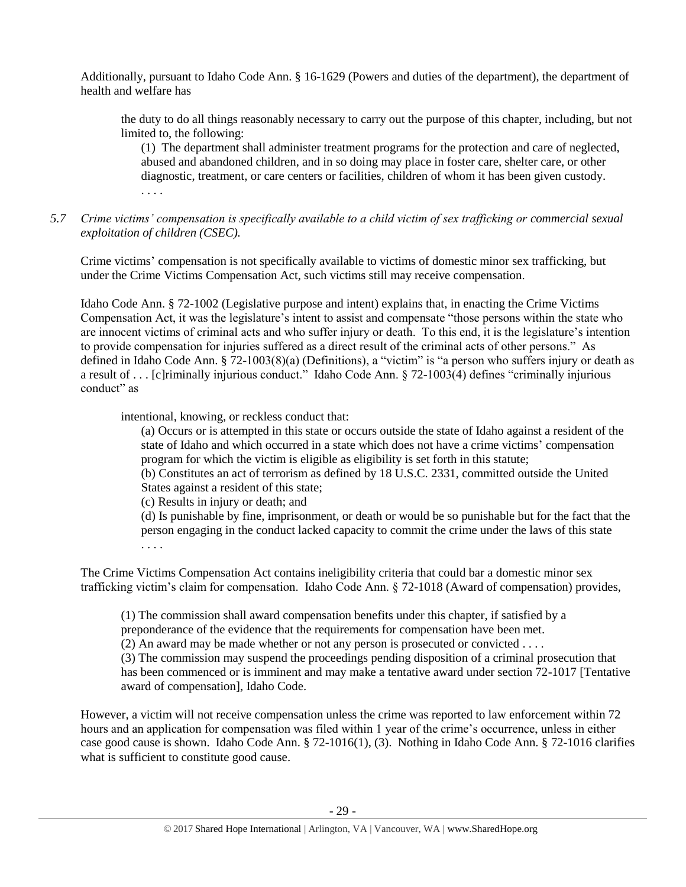Additionally, pursuant to Idaho Code Ann. § 16-1629 (Powers and duties of the department), the department of health and welfare has

the duty to do all things reasonably necessary to carry out the purpose of this chapter, including, but not limited to, the following:

(1) The department shall administer treatment programs for the protection and care of neglected, abused and abandoned children, and in so doing may place in foster care, shelter care, or other diagnostic, treatment, or care centers or facilities, children of whom it has been given custody. . . . .

*5.7 Crime victims' compensation is specifically available to a child victim of sex trafficking or commercial sexual exploitation of children (CSEC).*

Crime victims' compensation is not specifically available to victims of domestic minor sex trafficking, but under the Crime Victims Compensation Act, such victims still may receive compensation.

Idaho Code Ann. § 72-1002 (Legislative purpose and intent) explains that, in enacting the Crime Victims Compensation Act, it was the legislature's intent to assist and compensate "those persons within the state who are innocent victims of criminal acts and who suffer injury or death. To this end, it is the legislature's intention to provide compensation for injuries suffered as a direct result of the criminal acts of other persons." As defined in Idaho Code Ann. § 72-1003(8)(a) (Definitions), a "victim" is "a person who suffers injury or death as a result of . . . [c]riminally injurious conduct." Idaho Code Ann. § 72-1003(4) defines "criminally injurious conduct" as

intentional, knowing, or reckless conduct that:

(a) Occurs or is attempted in this state or occurs outside the state of Idaho against a resident of the state of Idaho and which occurred in a state which does not have a crime victims' compensation program for which the victim is eligible as eligibility is set forth in this statute;

(b) Constitutes an act of terrorism as defined by 18 U.S.C. 2331, committed outside the United States against a resident of this state;

(c) Results in injury or death; and

(d) Is punishable by fine, imprisonment, or death or would be so punishable but for the fact that the person engaging in the conduct lacked capacity to commit the crime under the laws of this state . . . .

The Crime Victims Compensation Act contains ineligibility criteria that could bar a domestic minor sex trafficking victim's claim for compensation. Idaho Code Ann. § 72-1018 (Award of compensation) provides,

(1) The commission shall award compensation benefits under this chapter, if satisfied by a preponderance of the evidence that the requirements for compensation have been met.

(2) An award may be made whether or not any person is prosecuted or convicted . . . .

(3) The commission may suspend the proceedings pending disposition of a criminal prosecution that has been commenced or is imminent and may make a tentative award under section 72-1017 [Tentative award of compensation], Idaho Code.

However, a victim will not receive compensation unless the crime was reported to law enforcement within 72 hours and an application for compensation was filed within 1 year of the crime's occurrence, unless in either case good cause is shown. Idaho Code Ann. § 72-1016(1), (3). Nothing in Idaho Code Ann. § 72-1016 clarifies what is sufficient to constitute good cause.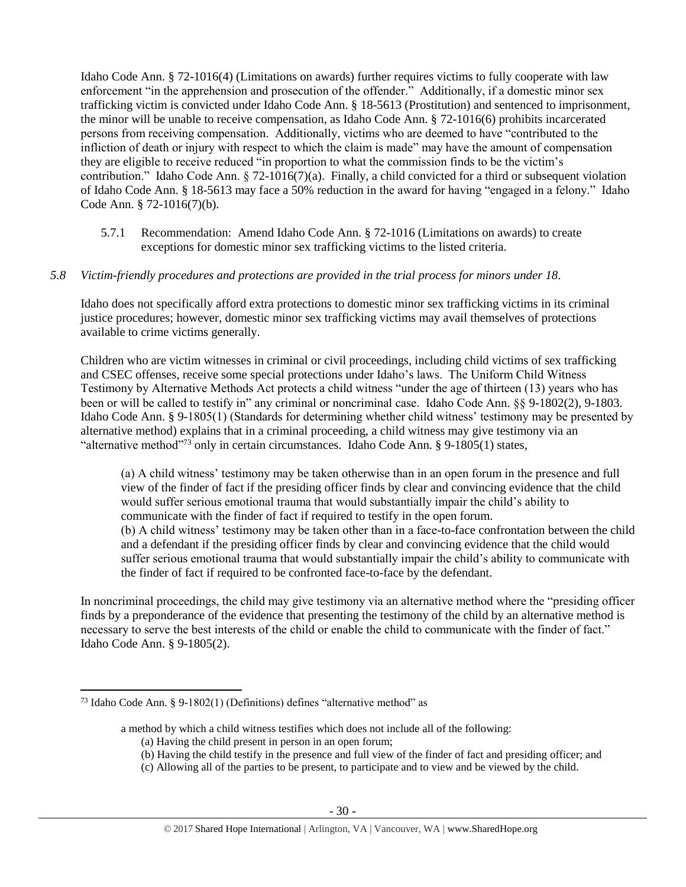Idaho Code Ann. § 72-1016(4) (Limitations on awards) further requires victims to fully cooperate with law enforcement "in the apprehension and prosecution of the offender." Additionally, if a domestic minor sex trafficking victim is convicted under Idaho Code Ann. § 18-5613 (Prostitution) and sentenced to imprisonment, the minor will be unable to receive compensation, as Idaho Code Ann. § 72-1016(6) prohibits incarcerated persons from receiving compensation. Additionally, victims who are deemed to have "contributed to the infliction of death or injury with respect to which the claim is made" may have the amount of compensation they are eligible to receive reduced "in proportion to what the commission finds to be the victim's contribution." Idaho Code Ann. § 72-1016(7)(a). Finally, a child convicted for a third or subsequent violation of Idaho Code Ann. § 18-5613 may face a 50% reduction in the award for having "engaged in a felony." Idaho Code Ann. § 72-1016(7)(b).

5.7.1 Recommendation: Amend Idaho Code Ann. § 72-1016 (Limitations on awards) to create exceptions for domestic minor sex trafficking victims to the listed criteria.

## *5.8 Victim-friendly procedures and protections are provided in the trial process for minors under 18.*

Idaho does not specifically afford extra protections to domestic minor sex trafficking victims in its criminal justice procedures; however, domestic minor sex trafficking victims may avail themselves of protections available to crime victims generally.

Children who are victim witnesses in criminal or civil proceedings, including child victims of sex trafficking and CSEC offenses, receive some special protections under Idaho's laws. The Uniform Child Witness Testimony by Alternative Methods Act protects a child witness "under the age of thirteen (13) years who has been or will be called to testify in" any criminal or noncriminal case. Idaho Code Ann. §§ 9-1802(2), 9-1803. Idaho Code Ann. § 9-1805(1) (Standards for determining whether child witness' testimony may be presented by alternative method) explains that in a criminal proceeding, a child witness may give testimony via an "alternative method"<sup>73</sup> only in certain circumstances. Idaho Code Ann. § 9-1805(1) states,

(a) A child witness' testimony may be taken otherwise than in an open forum in the presence and full view of the finder of fact if the presiding officer finds by clear and convincing evidence that the child would suffer serious emotional trauma that would substantially impair the child's ability to communicate with the finder of fact if required to testify in the open forum. (b) A child witness' testimony may be taken other than in a face-to-face confrontation between the child and a defendant if the presiding officer finds by clear and convincing evidence that the child would suffer serious emotional trauma that would substantially impair the child's ability to communicate with the finder of fact if required to be confronted face-to-face by the defendant.

In noncriminal proceedings, the child may give testimony via an alternative method where the "presiding officer finds by a preponderance of the evidence that presenting the testimony of the child by an alternative method is necessary to serve the best interests of the child or enable the child to communicate with the finder of fact." Idaho Code Ann. § 9-1805(2).

<sup>&</sup>lt;sup>73</sup> Idaho Code Ann. § 9-1802(1) (Definitions) defines "alternative method" as

a method by which a child witness testifies which does not include all of the following:

<sup>(</sup>a) Having the child present in person in an open forum;

<sup>(</sup>b) Having the child testify in the presence and full view of the finder of fact and presiding officer; and

<sup>(</sup>c) Allowing all of the parties to be present, to participate and to view and be viewed by the child.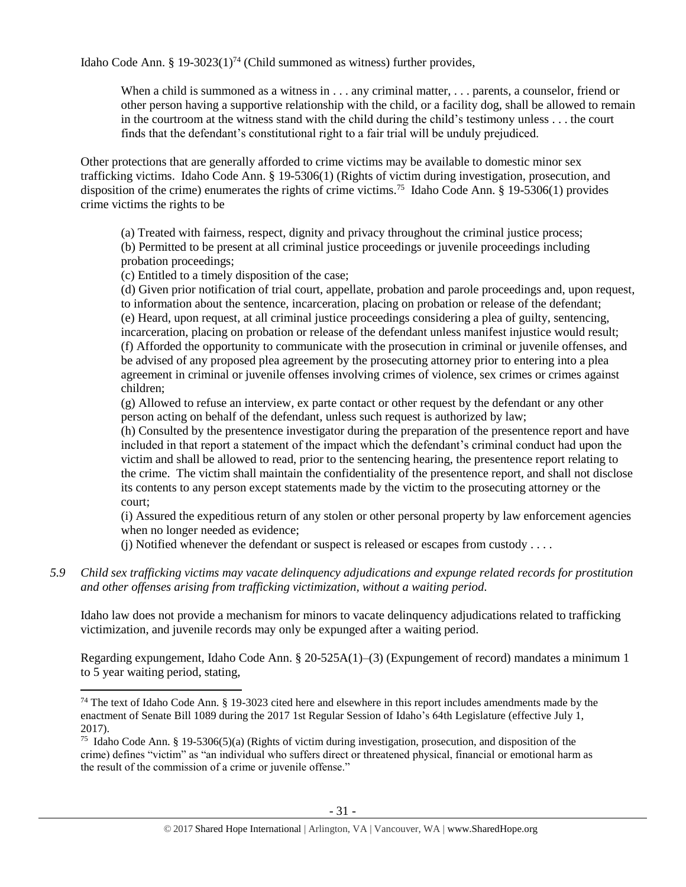Idaho Code Ann. § 19-3023(1)<sup>74</sup> (Child summoned as witness) further provides,

When a child is summoned as a witness in . . . any criminal matter, . . . parents, a counselor, friend or other person having a supportive relationship with the child, or a facility dog, shall be allowed to remain in the courtroom at the witness stand with the child during the child's testimony unless . . . the court finds that the defendant's constitutional right to a fair trial will be unduly prejudiced.

Other protections that are generally afforded to crime victims may be available to domestic minor sex trafficking victims. Idaho Code Ann. § 19-5306(1) (Rights of victim during investigation, prosecution, and disposition of the crime) enumerates the rights of crime victims.<sup>75</sup> Idaho Code Ann. § 19-5306(1) provides crime victims the rights to be

(a) Treated with fairness, respect, dignity and privacy throughout the criminal justice process; (b) Permitted to be present at all criminal justice proceedings or juvenile proceedings including probation proceedings;

(c) Entitled to a timely disposition of the case;

(d) Given prior notification of trial court, appellate, probation and parole proceedings and, upon request, to information about the sentence, incarceration, placing on probation or release of the defendant; (e) Heard, upon request, at all criminal justice proceedings considering a plea of guilty, sentencing, incarceration, placing on probation or release of the defendant unless manifest injustice would result; (f) Afforded the opportunity to communicate with the prosecution in criminal or juvenile offenses, and be advised of any proposed plea agreement by the prosecuting attorney prior to entering into a plea agreement in criminal or juvenile offenses involving crimes of violence, sex crimes or crimes against children;

(g) Allowed to refuse an interview, ex parte contact or other request by the defendant or any other person acting on behalf of the defendant, unless such request is authorized by law;

(h) Consulted by the presentence investigator during the preparation of the presentence report and have included in that report a statement of the impact which the defendant's criminal conduct had upon the victim and shall be allowed to read, prior to the sentencing hearing, the presentence report relating to the crime. The victim shall maintain the confidentiality of the presentence report, and shall not disclose its contents to any person except statements made by the victim to the prosecuting attorney or the court;

(i) Assured the expeditious return of any stolen or other personal property by law enforcement agencies when no longer needed as evidence;

 $(i)$  Notified whenever the defendant or suspect is released or escapes from custody ...

*5.9 Child sex trafficking victims may vacate delinquency adjudications and expunge related records for prostitution and other offenses arising from trafficking victimization, without a waiting period.*

Idaho law does not provide a mechanism for minors to vacate delinquency adjudications related to trafficking victimization, and juvenile records may only be expunged after a waiting period.

Regarding expungement, Idaho Code Ann. § 20-525A(1)–(3) (Expungement of record) mandates a minimum 1 to 5 year waiting period, stating,

 $\overline{\phantom{a}}$  $74$  The text of Idaho Code Ann. § 19-3023 cited here and elsewhere in this report includes amendments made by the enactment of Senate Bill 1089 during the 2017 1st Regular Session of Idaho's 64th Legislature (effective July 1, 2017).

<sup>&</sup>lt;sup>75</sup> Idaho Code Ann. § 19-5306(5)(a) (Rights of victim during investigation, prosecution, and disposition of the crime) defines "victim" as "an individual who suffers direct or threatened physical, financial or emotional harm as the result of the commission of a crime or juvenile offense."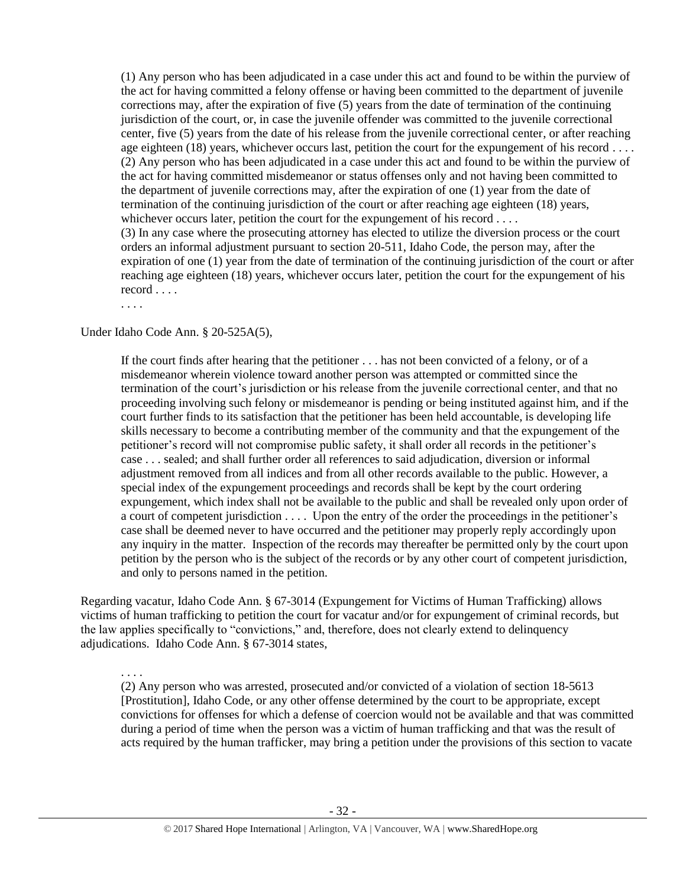(1) Any person who has been adjudicated in a case under this act and found to be within the purview of the act for having committed a felony offense or having been committed to the department of juvenile corrections may, after the expiration of five (5) years from the date of termination of the continuing jurisdiction of the court, or, in case the juvenile offender was committed to the juvenile correctional center, five (5) years from the date of his release from the juvenile correctional center, or after reaching age eighteen (18) years, whichever occurs last, petition the court for the expungement of his record . . . . (2) Any person who has been adjudicated in a case under this act and found to be within the purview of the act for having committed misdemeanor or status offenses only and not having been committed to the department of juvenile corrections may, after the expiration of one (1) year from the date of termination of the continuing jurisdiction of the court or after reaching age eighteen (18) years, whichever occurs later, petition the court for the expungement of his record . . . . (3) In any case where the prosecuting attorney has elected to utilize the diversion process or the court orders an informal adjustment pursuant to section 20-511, Idaho Code, the person may, after the expiration of one (1) year from the date of termination of the continuing jurisdiction of the court or after reaching age eighteen (18) years, whichever occurs later, petition the court for the expungement of his record . . . .

. . . .

Under Idaho Code Ann. § 20-525A(5),

If the court finds after hearing that the petitioner . . . has not been convicted of a felony, or of a misdemeanor wherein violence toward another person was attempted or committed since the termination of the court's jurisdiction or his release from the juvenile correctional center, and that no proceeding involving such felony or misdemeanor is pending or being instituted against him, and if the court further finds to its satisfaction that the petitioner has been held accountable, is developing life skills necessary to become a contributing member of the community and that the expungement of the petitioner's record will not compromise public safety, it shall order all records in the petitioner's case . . . sealed; and shall further order all references to said adjudication, diversion or informal adjustment removed from all indices and from all other records available to the public. However, a special index of the expungement proceedings and records shall be kept by the court ordering expungement, which index shall not be available to the public and shall be revealed only upon order of a court of competent jurisdiction . . . . Upon the entry of the order the proceedings in the petitioner's case shall be deemed never to have occurred and the petitioner may properly reply accordingly upon any inquiry in the matter. Inspection of the records may thereafter be permitted only by the court upon petition by the person who is the subject of the records or by any other court of competent jurisdiction, and only to persons named in the petition.

Regarding vacatur, Idaho Code Ann. § 67-3014 (Expungement for Victims of Human Trafficking) allows victims of human trafficking to petition the court for vacatur and/or for expungement of criminal records, but the law applies specifically to "convictions," and, therefore, does not clearly extend to delinquency adjudications. Idaho Code Ann. § 67-3014 states,

. . . .

(2) Any person who was arrested, prosecuted and/or convicted of a violation of section 18-5613 [Prostitution], Idaho Code, or any other offense determined by the court to be appropriate, except convictions for offenses for which a defense of coercion would not be available and that was committed during a period of time when the person was a victim of human trafficking and that was the result of acts required by the human trafficker, may bring a petition under the provisions of this section to vacate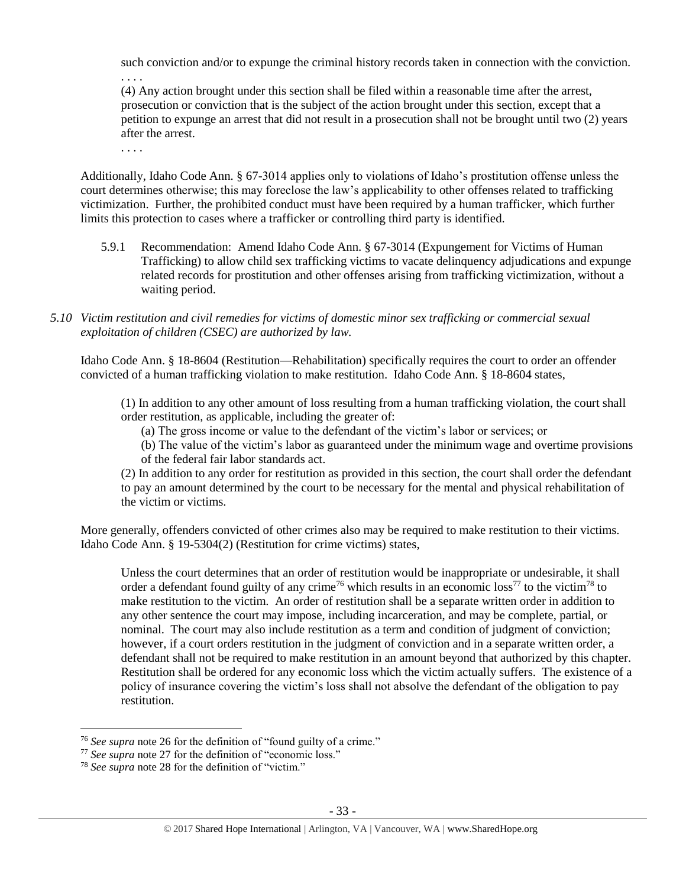such conviction and/or to expunge the criminal history records taken in connection with the conviction. . . . .

(4) Any action brought under this section shall be filed within a reasonable time after the arrest, prosecution or conviction that is the subject of the action brought under this section, except that a petition to expunge an arrest that did not result in a prosecution shall not be brought until two (2) years after the arrest.

. . . .

Additionally, Idaho Code Ann. § 67-3014 applies only to violations of Idaho's prostitution offense unless the court determines otherwise; this may foreclose the law's applicability to other offenses related to trafficking victimization. Further, the prohibited conduct must have been required by a human trafficker, which further limits this protection to cases where a trafficker or controlling third party is identified.

5.9.1 Recommendation: Amend Idaho Code Ann. § 67-3014 (Expungement for Victims of Human Trafficking) to allow child sex trafficking victims to vacate delinquency adjudications and expunge related records for prostitution and other offenses arising from trafficking victimization, without a waiting period.

## *5.10 Victim restitution and civil remedies for victims of domestic minor sex trafficking or commercial sexual exploitation of children (CSEC) are authorized by law.*

Idaho Code Ann. § 18-8604 (Restitution—Rehabilitation) specifically requires the court to order an offender convicted of a human trafficking violation to make restitution. Idaho Code Ann. § 18-8604 states,

(1) In addition to any other amount of loss resulting from a human trafficking violation, the court shall order restitution, as applicable, including the greater of:

(a) The gross income or value to the defendant of the victim's labor or services; or

(b) The value of the victim's labor as guaranteed under the minimum wage and overtime provisions of the federal fair labor standards act.

(2) In addition to any order for restitution as provided in this section, the court shall order the defendant to pay an amount determined by the court to be necessary for the mental and physical rehabilitation of the victim or victims.

More generally, offenders convicted of other crimes also may be required to make restitution to their victims. Idaho Code Ann. § 19-5304(2) (Restitution for crime victims) states,

Unless the court determines that an order of restitution would be inappropriate or undesirable, it shall order a defendant found guilty of any crime<sup>76</sup> which results in an economic loss<sup>77</sup> to the victim<sup>78</sup> to make restitution to the victim. An order of restitution shall be a separate written order in addition to any other sentence the court may impose, including incarceration, and may be complete, partial, or nominal. The court may also include restitution as a term and condition of judgment of conviction; however, if a court orders restitution in the judgment of conviction and in a separate written order, a defendant shall not be required to make restitution in an amount beyond that authorized by this chapter. Restitution shall be ordered for any economic loss which the victim actually suffers. The existence of a policy of insurance covering the victim's loss shall not absolve the defendant of the obligation to pay restitution.

<sup>76</sup> *See supra* note [26](#page-11-1) for the definition of "found guilty of a crime."

<sup>&</sup>lt;sup>77</sup> See supra note [27](#page-11-0) for the definition of "economic loss."

<sup>78</sup> *See supra* note [28](#page-11-2) for the definition of "victim."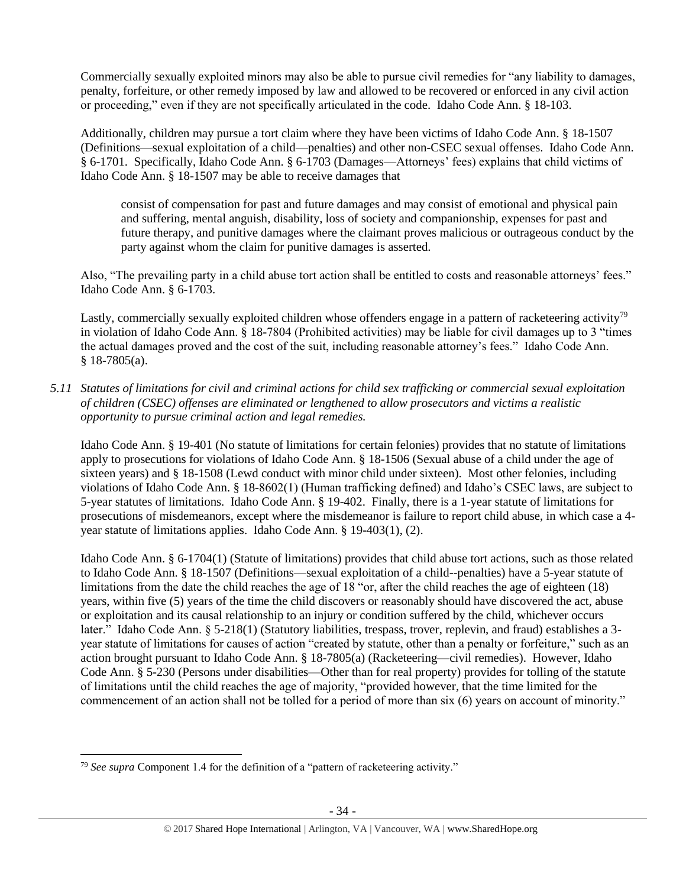Commercially sexually exploited minors may also be able to pursue civil remedies for "any liability to damages, penalty, forfeiture, or other remedy imposed by law and allowed to be recovered or enforced in any civil action or proceeding," even if they are not specifically articulated in the code. Idaho Code Ann. § 18-103.

Additionally, children may pursue a tort claim where they have been victims of Idaho Code Ann. § 18-1507 (Definitions—sexual exploitation of a child—penalties) and other non-CSEC sexual offenses. Idaho Code Ann. § 6-1701. Specifically, Idaho Code Ann. § 6-1703 (Damages—Attorneys' fees) explains that child victims of Idaho Code Ann. § 18-1507 may be able to receive damages that

consist of compensation for past and future damages and may consist of emotional and physical pain and suffering, mental anguish, disability, loss of society and companionship, expenses for past and future therapy, and punitive damages where the claimant proves malicious or outrageous conduct by the party against whom the claim for punitive damages is asserted.

Also, "The prevailing party in a child abuse tort action shall be entitled to costs and reasonable attorneys' fees." Idaho Code Ann. § 6-1703.

Lastly, commercially sexually exploited children whose offenders engage in a pattern of racketeering activity<sup>79</sup> in violation of Idaho Code Ann. § 18-7804 (Prohibited activities) may be liable for civil damages up to 3 "times the actual damages proved and the cost of the suit, including reasonable attorney's fees." Idaho Code Ann.  $§$  18-7805(a).

*5.11 Statutes of limitations for civil and criminal actions for child sex trafficking or commercial sexual exploitation of children (CSEC) offenses are eliminated or lengthened to allow prosecutors and victims a realistic opportunity to pursue criminal action and legal remedies.*

Idaho Code Ann. § 19-401 (No statute of limitations for certain felonies) provides that no statute of limitations apply to prosecutions for violations of Idaho Code Ann. § 18-1506 (Sexual abuse of a child under the age of sixteen years) and § 18-1508 (Lewd conduct with minor child under sixteen). Most other felonies, including violations of Idaho Code Ann. § 18-8602(1) (Human trafficking defined) and Idaho's CSEC laws, are subject to 5-year statutes of limitations. Idaho Code Ann. § 19-402. Finally, there is a 1-year statute of limitations for prosecutions of misdemeanors, except where the misdemeanor is failure to report child abuse, in which case a 4 year statute of limitations applies. Idaho Code Ann. § 19-403(1), (2).

Idaho Code Ann. § 6-1704(1) (Statute of limitations) provides that child abuse tort actions, such as those related to Idaho Code Ann. § 18-1507 (Definitions—sexual exploitation of a child--penalties) have a 5-year statute of limitations from the date the child reaches the age of 18 "or, after the child reaches the age of eighteen (18) years, within five (5) years of the time the child discovers or reasonably should have discovered the act, abuse or exploitation and its causal relationship to an injury or condition suffered by the child, whichever occurs later." Idaho Code Ann. § 5-218(1) (Statutory liabilities, trespass, trover, replevin, and fraud) establishes a 3year statute of limitations for causes of action "created by statute, other than a penalty or forfeiture," such as an action brought pursuant to Idaho Code Ann. § 18-7805(a) (Racketeering—civil remedies). However, Idaho Code Ann. § 5-230 (Persons under disabilities—Other than for real property) provides for tolling of the statute of limitations until the child reaches the age of majority, "provided however, that the time limited for the commencement of an action shall not be tolled for a period of more than six (6) years on account of minority."

 $\overline{a}$ <sup>79</sup> *See supra* Component 1.4 for the definition of a "pattern of racketeering activity."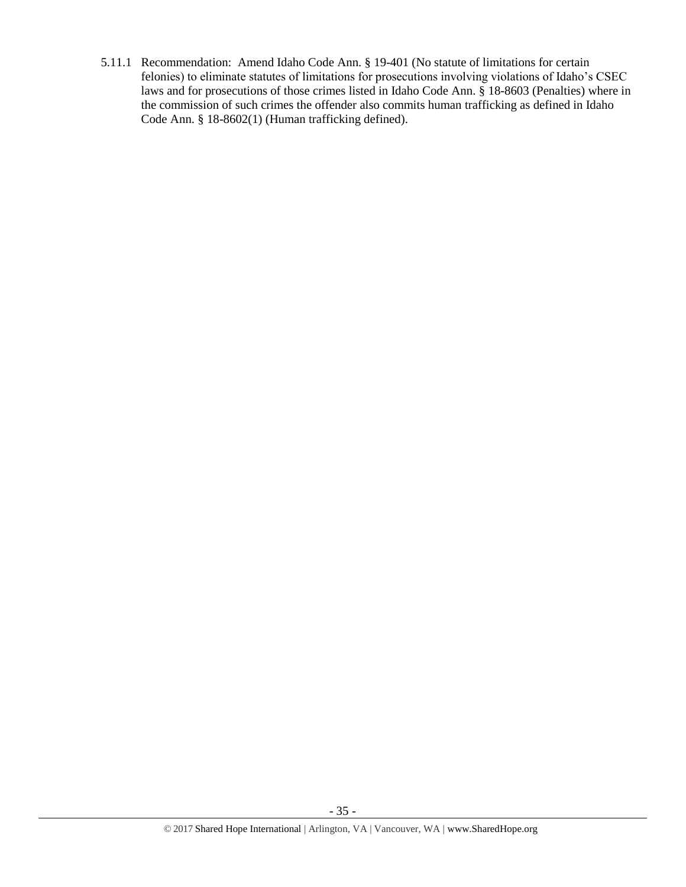5.11.1 Recommendation: Amend Idaho Code Ann. § 19-401 (No statute of limitations for certain felonies) to eliminate statutes of limitations for prosecutions involving violations of Idaho's CSEC laws and for prosecutions of those crimes listed in Idaho Code Ann. § 18-8603 (Penalties) where in the commission of such crimes the offender also commits human trafficking as defined in Idaho Code Ann. § 18-8602(1) (Human trafficking defined).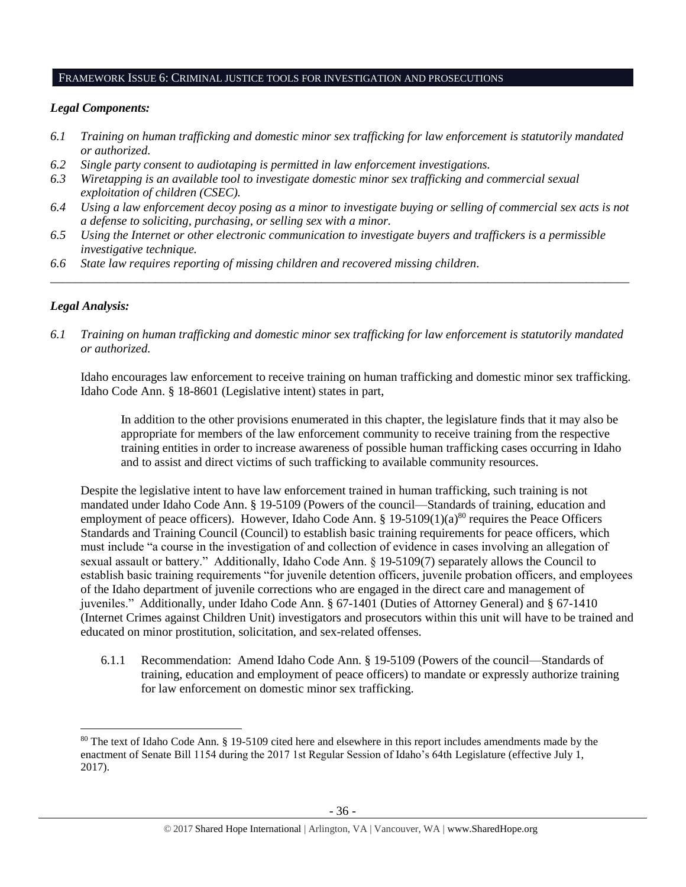#### FRAMEWORK ISSUE 6: CRIMINAL JUSTICE TOOLS FOR INVESTIGATION AND PROSECUTIONS

## *Legal Components:*

- *6.1 Training on human trafficking and domestic minor sex trafficking for law enforcement is statutorily mandated or authorized.*
- *6.2 Single party consent to audiotaping is permitted in law enforcement investigations.*
- *6.3 Wiretapping is an available tool to investigate domestic minor sex trafficking and commercial sexual exploitation of children (CSEC).*
- *6.4 Using a law enforcement decoy posing as a minor to investigate buying or selling of commercial sex acts is not a defense to soliciting, purchasing, or selling sex with a minor.*
- *6.5 Using the Internet or other electronic communication to investigate buyers and traffickers is a permissible investigative technique.*
- *6.6 State law requires reporting of missing children and recovered missing children.*

## *Legal Analysis:*

 $\overline{\phantom{a}}$ 

*6.1 Training on human trafficking and domestic minor sex trafficking for law enforcement is statutorily mandated or authorized.*

*\_\_\_\_\_\_\_\_\_\_\_\_\_\_\_\_\_\_\_\_\_\_\_\_\_\_\_\_\_\_\_\_\_\_\_\_\_\_\_\_\_\_\_\_\_\_\_\_\_\_\_\_\_\_\_\_\_\_\_\_\_\_\_\_\_\_\_\_\_\_\_\_\_\_\_\_\_\_\_\_\_\_\_\_\_\_\_\_\_\_\_\_\_\_*

Idaho encourages law enforcement to receive training on human trafficking and domestic minor sex trafficking. Idaho Code Ann. § 18-8601 (Legislative intent) states in part,

In addition to the other provisions enumerated in this chapter, the legislature finds that it may also be appropriate for members of the law enforcement community to receive training from the respective training entities in order to increase awareness of possible human trafficking cases occurring in Idaho and to assist and direct victims of such trafficking to available community resources.

Despite the legislative intent to have law enforcement trained in human trafficking, such training is not mandated under Idaho Code Ann. § 19-5109 (Powers of the council—Standards of training, education and employment of peace officers). However, Idaho Code Ann. § 19-5109(1)(a)<sup>80</sup> requires the Peace Officers Standards and Training Council (Council) to establish basic training requirements for peace officers, which must include "a course in the investigation of and collection of evidence in cases involving an allegation of sexual assault or battery." Additionally, Idaho Code Ann. § 19-5109(7) separately allows the Council to establish basic training requirements "for juvenile detention officers, juvenile probation officers, and employees of the Idaho department of juvenile corrections who are engaged in the direct care and management of juveniles." Additionally, under Idaho Code Ann. § 67-1401 (Duties of Attorney General) and § 67-1410 (Internet Crimes against Children Unit) investigators and prosecutors within this unit will have to be trained and educated on minor prostitution, solicitation, and sex-related offenses.

6.1.1 Recommendation: Amend Idaho Code Ann. § 19-5109 (Powers of the council—Standards of training, education and employment of peace officers) to mandate or expressly authorize training for law enforcement on domestic minor sex trafficking.

<sup>80</sup> The text of Idaho Code Ann. § 19-5109 cited here and elsewhere in this report includes amendments made by the enactment of Senate Bill 1154 during the 2017 1st Regular Session of Idaho's 64th Legislature (effective July 1, 2017).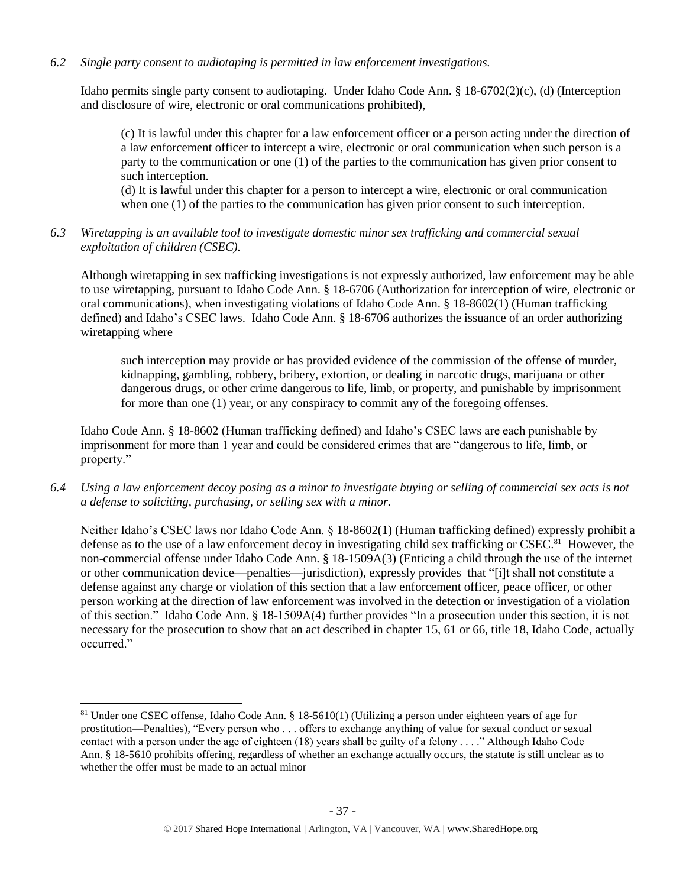## *6.2 Single party consent to audiotaping is permitted in law enforcement investigations.*

Idaho permits single party consent to audiotaping. Under Idaho Code Ann. § 18-6702(2)(c), (d) (Interception and disclosure of wire, electronic or oral communications prohibited),

(c) It is lawful under this chapter for a law enforcement officer or a person acting under the direction of a law enforcement officer to intercept a wire, electronic or oral communication when such person is a party to the communication or one (1) of the parties to the communication has given prior consent to such interception.

(d) It is lawful under this chapter for a person to intercept a wire, electronic or oral communication when one (1) of the parties to the communication has given prior consent to such interception.

*6.3 Wiretapping is an available tool to investigate domestic minor sex trafficking and commercial sexual exploitation of children (CSEC).* 

Although wiretapping in sex trafficking investigations is not expressly authorized, law enforcement may be able to use wiretapping, pursuant to Idaho Code Ann. § 18-6706 (Authorization for interception of wire, electronic or oral communications), when investigating violations of Idaho Code Ann. § 18-8602(1) (Human trafficking defined) and Idaho's CSEC laws. Idaho Code Ann. § 18-6706 authorizes the issuance of an order authorizing wiretapping where

such interception may provide or has provided evidence of the commission of the offense of murder, kidnapping, gambling, robbery, bribery, extortion, or dealing in narcotic drugs, marijuana or other dangerous drugs, or other crime dangerous to life, limb, or property, and punishable by imprisonment for more than one (1) year, or any conspiracy to commit any of the foregoing offenses.

Idaho Code Ann. § 18-8602 (Human trafficking defined) and Idaho's CSEC laws are each punishable by imprisonment for more than 1 year and could be considered crimes that are "dangerous to life, limb, or property."

*6.4 Using a law enforcement decoy posing as a minor to investigate buying or selling of commercial sex acts is not a defense to soliciting, purchasing, or selling sex with a minor.*

Neither Idaho's CSEC laws nor Idaho Code Ann. § 18-8602(1) (Human trafficking defined) expressly prohibit a defense as to the use of a law enforcement decoy in investigating child sex trafficking or CSEC.<sup>81</sup> However, the non-commercial offense under Idaho Code Ann. § 18-1509A(3) (Enticing a child through the use of the internet or other communication device—penalties—jurisdiction), expressly provides that "[i]t shall not constitute a defense against any charge or violation of this section that a law enforcement officer, peace officer, or other person working at the direction of law enforcement was involved in the detection or investigation of a violation of this section." Idaho Code Ann. § 18-1509A(4) further provides "In a prosecution under this section, it is not necessary for the prosecution to show that an act described in chapter 15, 61 or 66, title 18, Idaho Code, actually occurred."

<sup>81</sup> Under one CSEC offense, Idaho Code Ann. § 18-5610(1) (Utilizing a person under eighteen years of age for prostitution—Penalties), "Every person who . . . offers to exchange anything of value for sexual conduct or sexual contact with a person under the age of eighteen (18) years shall be guilty of a felony . . . ." Although Idaho Code Ann. § 18-5610 prohibits offering, regardless of whether an exchange actually occurs, the statute is still unclear as to whether the offer must be made to an actual minor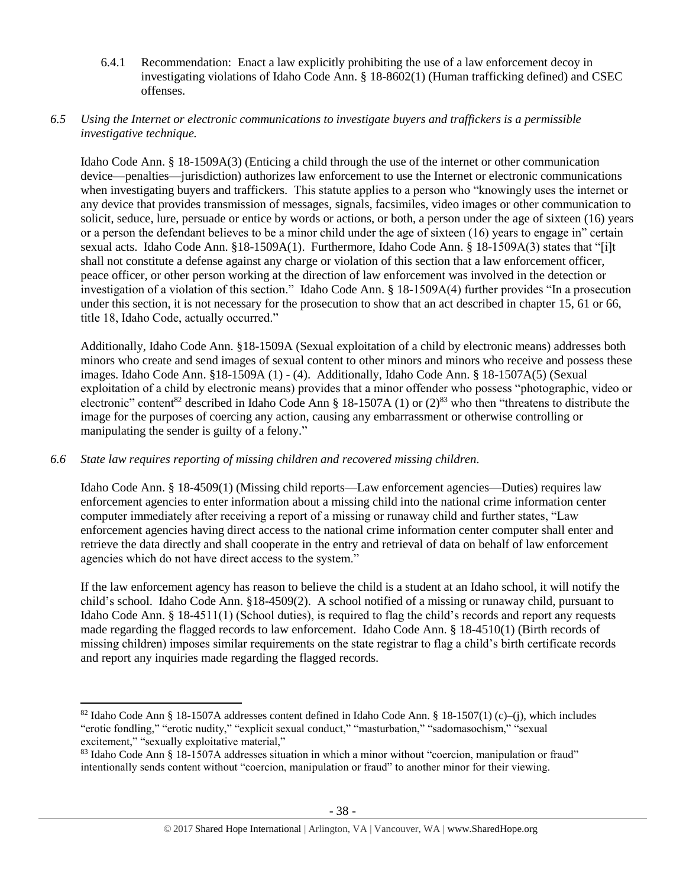6.4.1 Recommendation: Enact a law explicitly prohibiting the use of a law enforcement decoy in investigating violations of Idaho Code Ann. § 18-8602(1) (Human trafficking defined) and CSEC offenses.

## *6.5 Using the Internet or electronic communications to investigate buyers and traffickers is a permissible investigative technique.*

Idaho Code Ann. § 18-1509A(3) (Enticing a child through the use of the internet or other communication device—penalties—jurisdiction) authorizes law enforcement to use the Internet or electronic communications when investigating buyers and traffickers. This statute applies to a person who "knowingly uses the internet or any device that provides transmission of messages, signals, facsimiles, video images or other communication to solicit, seduce, lure, persuade or entice by words or actions, or both, a person under the age of sixteen (16) years or a person the defendant believes to be a minor child under the age of sixteen (16) years to engage in" certain sexual acts. Idaho Code Ann. §18-1509A(1). Furthermore, Idaho Code Ann. § 18-1509A(3) states that "[i]t shall not constitute a defense against any charge or violation of this section that a law enforcement officer, peace officer, or other person working at the direction of law enforcement was involved in the detection or investigation of a violation of this section." Idaho Code Ann. § 18-1509A(4) further provides "In a prosecution under this section, it is not necessary for the prosecution to show that an act described in chapter 15, 61 or 66, title 18, Idaho Code, actually occurred."

Additionally, Idaho Code Ann. §18-1509A (Sexual exploitation of a child by electronic means) addresses both minors who create and send images of sexual content to other minors and minors who receive and possess these images. Idaho Code Ann. §18-1509A (1) - (4). Additionally, Idaho Code Ann. § 18-1507A(5) (Sexual exploitation of a child by electronic means) provides that a minor offender who possess "photographic, video or electronic" content<sup>82</sup> described in Idaho Code Ann § 18-1507A (1) or  $(2)^{83}$  who then "threatens to distribute the image for the purposes of coercing any action, causing any embarrassment or otherwise controlling or manipulating the sender is guilty of a felony."

# *6.6 State law requires reporting of missing children and recovered missing children.*

 $\overline{\phantom{a}}$ 

Idaho Code Ann. § 18-4509(1) (Missing child reports—Law enforcement agencies—Duties) requires law enforcement agencies to enter information about a missing child into the national crime information center computer immediately after receiving a report of a missing or runaway child and further states, "Law enforcement agencies having direct access to the national crime information center computer shall enter and retrieve the data directly and shall cooperate in the entry and retrieval of data on behalf of law enforcement agencies which do not have direct access to the system."

If the law enforcement agency has reason to believe the child is a student at an Idaho school, it will notify the child's school. Idaho Code Ann. §18-4509(2). A school notified of a missing or runaway child, pursuant to Idaho Code Ann. § 18-4511(1) (School duties), is required to flag the child's records and report any requests made regarding the flagged records to law enforcement. Idaho Code Ann. § 18-4510(1) (Birth records of missing children) imposes similar requirements on the state registrar to flag a child's birth certificate records and report any inquiries made regarding the flagged records.

<sup>82</sup> Idaho Code Ann § 18-1507A addresses content defined in Idaho Code Ann. § 18-1507(1) (c)–(j), which includes "erotic fondling," "erotic nudity," "explicit sexual conduct," "masturbation," "sadomasochism," "sexual excitement," "sexually exploitative material,"

<sup>83</sup> Idaho Code Ann § 18-1507A addresses situation in which a minor without "coercion, manipulation or fraud" intentionally sends content without "coercion, manipulation or fraud" to another minor for their viewing.